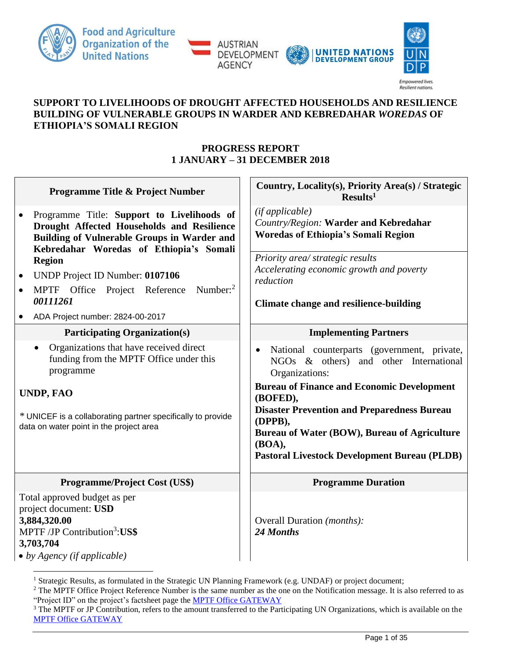





Resilient nations.

## **SUPPORT TO LIVELIHOODS OF DROUGHT AFFECTED HOUSEHOLDS AND RESILIENCE BUILDING OF VULNERABLE GROUPS IN WARDER AND KEBREDAHAR** *WOREDAS* **OF ETHIOPIA'S SOMALI REGION**

# **PROGRESS REPORT 1 JANUARY – 31 DECEMBER 2018**

| Programme Title & Project Number                                                                                                                                                                                                           | Country, Locality(s), Priority Area(s) / Strategic<br>Results <sup>1</sup>                                                                                                                                                                                                                                                                                 |  |
|--------------------------------------------------------------------------------------------------------------------------------------------------------------------------------------------------------------------------------------------|------------------------------------------------------------------------------------------------------------------------------------------------------------------------------------------------------------------------------------------------------------------------------------------------------------------------------------------------------------|--|
| Programme Title: Support to Livelihoods of<br>$\bullet$<br>Drought Affected Households and Resilience<br><b>Building of Vulnerable Groups in Warder and</b><br>Kebredahar Woredas of Ethiopia's Somali                                     | (if applicable)<br>Country/Region: Warder and Kebredahar<br><b>Woredas of Ethiopia's Somali Region</b>                                                                                                                                                                                                                                                     |  |
| <b>Region</b><br>UNDP Project ID Number: 0107106<br>$\bullet$<br>Number: $2$<br>MPTF Office Project Reference<br>00111261<br>ADA Project number: 2824-00-2017                                                                              | Priority area/ strategic results<br>Accelerating economic growth and poverty<br>reduction<br><b>Climate change and resilience-building</b>                                                                                                                                                                                                                 |  |
| <b>Participating Organization(s)</b>                                                                                                                                                                                                       | <b>Implementing Partners</b>                                                                                                                                                                                                                                                                                                                               |  |
| Organizations that have received direct<br>$\bullet$<br>funding from the MPTF Office under this<br>programme<br><b>UNDP, FAO</b><br>* UNICEF is a collaborating partner specifically to provide<br>data on water point in the project area | National counterparts (government, private,<br>NGOs & others) and other International<br>Organizations:<br><b>Bureau of Finance and Economic Development</b><br>(BOFED),<br><b>Disaster Prevention and Preparedness Bureau</b><br>(DPPB),<br>Bureau of Water (BOW), Bureau of Agriculture<br>(BOA),<br><b>Pastoral Livestock Development Bureau (PLDB)</b> |  |
| Programme/Project Cost (US\$)                                                                                                                                                                                                              | <b>Programme Duration</b>                                                                                                                                                                                                                                                                                                                                  |  |
| Total approved budget as per<br>project document: USD<br>3,884,320.00<br>MPTF /JP Contribution <sup>3</sup> :US\$<br>3,703,704<br>$\bullet$ by Agency (if applicable)                                                                      | Overall Duration (months):<br>24 Months                                                                                                                                                                                                                                                                                                                    |  |

<sup>&</sup>lt;sup>1</sup> Strategic Results, as formulated in the Strategic UN Planning Framework (e.g. UNDAF) or project document;

<sup>&</sup>lt;sup>2</sup> The MPTF Office Project Reference Number is the same number as the one on the Notification message. It is also referred to as "Project ID" on the project's factsheet page the [MPTF Office GATEWAY](http://mdtf.undp.org/)

<sup>&</sup>lt;sup>3</sup> The MPTF or JP Contribution, refers to the amount transferred to the Participating UN Organizations, which is available on the [MPTF Office GATEWAY](http://mdtf.undp.org/)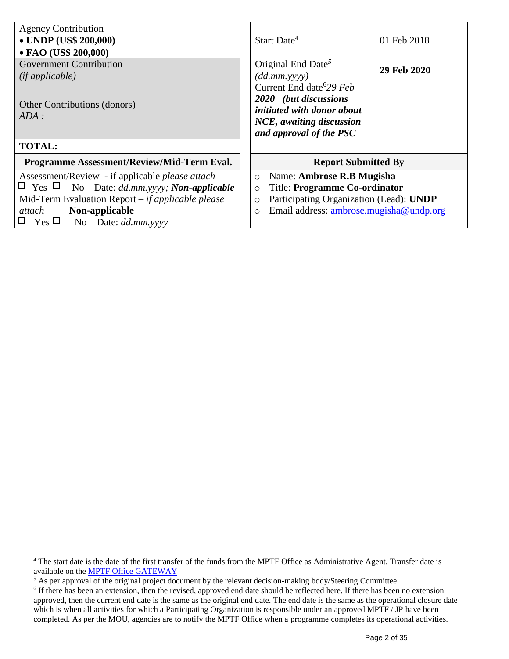| <b>Agency Contribution</b><br>• UNDP (US\$ 200,000)<br>• FAO (US\$ 200,000)                                                                                                                                                               | Start Date <sup>4</sup><br>01 Feb 2018                                                                                                                                                                                    |
|-------------------------------------------------------------------------------------------------------------------------------------------------------------------------------------------------------------------------------------------|---------------------------------------------------------------------------------------------------------------------------------------------------------------------------------------------------------------------------|
| <b>Government Contribution</b><br>(ifappliedble)<br>Other Contributions (donors)<br>ADA:                                                                                                                                                  | Original End Date <sup>5</sup><br>29 Feb 2020<br>$(dd.mm.$ yyyy $)$<br>Current End date <sup>6</sup> 29 Feb<br>2020 (but discussions<br>initiated with donor about<br>NCE, awaiting discussion<br>and approval of the PSC |
| <b>TOTAL:</b>                                                                                                                                                                                                                             |                                                                                                                                                                                                                           |
| Programme Assessment/Review/Mid-Term Eval.                                                                                                                                                                                                | <b>Report Submitted By</b>                                                                                                                                                                                                |
| Assessment/Review - if applicable <i>please</i> attach<br>No Date: dd.mm.yyyy; Non-applicable<br>$\sqcup$ Yes $\Box$<br>Mid-Term Evaluation Report $-$ if applicable please<br>Non-applicable<br>attach<br>$Yes \Box$ No Date: dd.mm.yyyy | Name: Ambrose R.B Mugisha<br>$\circ$<br><b>Title: Programme Co-ordinator</b><br>$\circ$<br>Participating Organization (Lead): UNDP<br>$\circ$<br>Email address: ambrose.mugisha@undp.org<br>$\circ$                       |

 $\overline{a}$ <sup>4</sup> The start date is the date of the first transfer of the funds from the MPTF Office as Administrative Agent. Transfer date is available on the [MPTF Office GATEWAY](http://mdtf.undp.org/)

<sup>&</sup>lt;sup>5</sup> As per approval of the original project document by the relevant decision-making body/Steering Committee.

<sup>&</sup>lt;sup>6</sup> If there has been an extension, then the revised, approved end date should be reflected here. If there has been no extension approved, then the current end date is the same as the original end date. The end date is the same as the operational closure date which is when all activities for which a Participating Organization is responsible under an approved MPTF / JP have been completed. As per the MOU, agencies are to notify the MPTF Office when a programme completes its operational activities.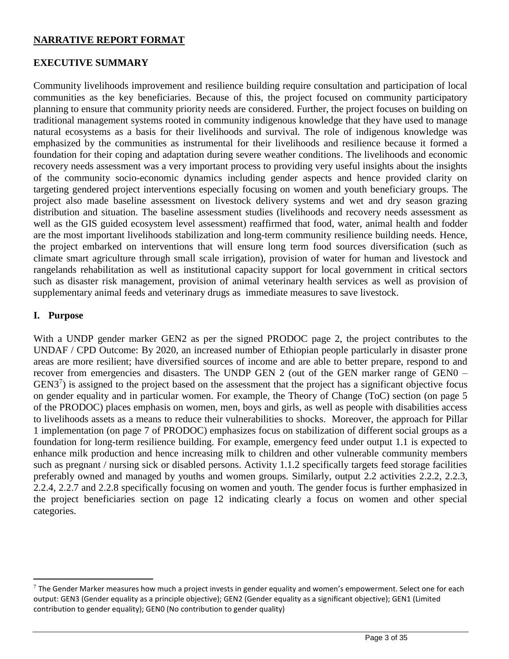## **NARRATIVE REPORT FORMAT**

### **EXECUTIVE SUMMARY**

Community livelihoods improvement and resilience building require consultation and participation of local communities as the key beneficiaries. Because of this, the project focused on community participatory planning to ensure that community priority needs are considered. Further, the project focuses on building on traditional management systems rooted in community indigenous knowledge that they have used to manage natural ecosystems as a basis for their livelihoods and survival. The role of indigenous knowledge was emphasized by the communities as instrumental for their livelihoods and resilience because it formed a foundation for their coping and adaptation during severe weather conditions. The livelihoods and economic recovery needs assessment was a very important process to providing very useful insights about the insights of the community socio-economic dynamics including gender aspects and hence provided clarity on targeting gendered project interventions especially focusing on women and youth beneficiary groups. The project also made baseline assessment on livestock delivery systems and wet and dry season grazing distribution and situation. The baseline assessment studies (livelihoods and recovery needs assessment as well as the GIS guided ecosystem level assessment) reaffirmed that food, water, animal health and fodder are the most important livelihoods stabilization and long-term community resilience building needs. Hence, the project embarked on interventions that will ensure long term food sources diversification (such as climate smart agriculture through small scale irrigation), provision of water for human and livestock and rangelands rehabilitation as well as institutional capacity support for local government in critical sectors such as disaster risk management, provision of animal veterinary health services as well as provision of supplementary animal feeds and veterinary drugs as immediate measures to save livestock.

## **I. Purpose**

 $\overline{a}$ 

With a UNDP gender marker GEN2 as per the signed PRODOC page 2, the project contributes to the UNDAF / CPD Outcome: By 2020, an increased number of Ethiopian people particularly in disaster prone areas are more resilient; have diversified sources of income and are able to better prepare, respond to and recover from emergencies and disasters. The UNDP GEN 2 (out of the GEN marker range of GEN0 –  $GEN3<sup>7</sup>$ ) is assigned to the project based on the assessment that the project has a significant objective focus on gender equality and in particular women. For example, the Theory of Change (ToC) section (on page 5 of the PRODOC) places emphasis on women, men, boys and girls, as well as people with disabilities access to livelihoods assets as a means to reduce their vulnerabilities to shocks. Moreover, the approach for Pillar 1 implementation (on page 7 of PRODOC) emphasizes focus on stabilization of different social groups as a foundation for long-term resilience building. For example, emergency feed under output 1.1 is expected to enhance milk production and hence increasing milk to children and other vulnerable community members such as pregnant / nursing sick or disabled persons. Activity 1.1.2 specifically targets feed storage facilities preferably owned and managed by youths and women groups. Similarly, output 2.2 activities 2.2.2, 2.2.3, 2.2.4, 2.2.7 and 2.2.8 specifically focusing on women and youth. The gender focus is further emphasized in the project beneficiaries section on page 12 indicating clearly a focus on women and other special categories.

 $7$  The Gender Marker measures how much a project invests in gender equality and women's empowerment. Select one for each output: GEN3 (Gender equality as a principle objective); GEN2 (Gender equality as a significant objective); GEN1 (Limited contribution to gender equality); GEN0 (No contribution to gender quality)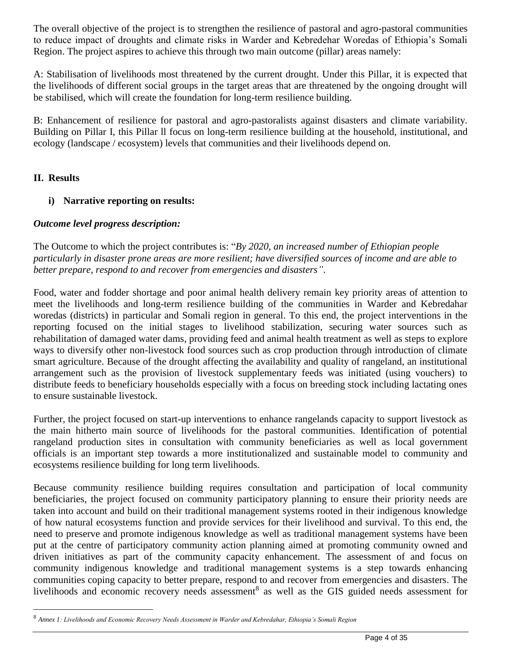The overall objective of the project is to strengthen the resilience of pastoral and agro-pastoral communities to reduce impact of droughts and climate risks in Warder and Kebredehar Woredas of Ethiopia's Somali Region. The project aspires to achieve this through two main outcome (pillar) areas namely:

A: Stabilisation of livelihoods most threatened by the current drought. Under this Pillar, it is expected that the livelihoods of different social groups in the target areas that are threatened by the ongoing drought will be stabilised, which will create the foundation for long-term resilience building.

B: Enhancement of resilience for pastoral and agro-pastoralists against disasters and climate variability. Building on Pillar I, this Pillar ll focus on long-term resilience building at the household, institutional, and ecology (landscape / ecosystem) levels that communities and their livelihoods depend on.

# **II. Results**

 $\overline{a}$ 

# **i) Narrative reporting on results:**

## *Outcome level progress description:*

The Outcome to which the project contributes is: "*By 2020, an increased number of Ethiopian people particularly in disaster prone areas are more resilient; have diversified sources of income and are able to better prepare, respond to and recover from emergencies and disasters"*.

Food, water and fodder shortage and poor animal health delivery remain key priority areas of attention to meet the livelihoods and long-term resilience building of the communities in Warder and Kebredahar woredas (districts) in particular and Somali region in general. To this end, the project interventions in the reporting focused on the initial stages to livelihood stabilization, securing water sources such as rehabilitation of damaged water dams, providing feed and animal health treatment as well as steps to explore ways to diversify other non-livestock food sources such as crop production through introduction of climate smart agriculture. Because of the drought affecting the availability and quality of rangeland, an institutional arrangement such as the provision of livestock supplementary feeds was initiated (using vouchers) to distribute feeds to beneficiary households especially with a focus on breeding stock including lactating ones to ensure sustainable livestock.

Further, the project focused on start-up interventions to enhance rangelands capacity to support livestock as the main hitherto main source of livelihoods for the pastoral communities. Identification of potential rangeland production sites in consultation with community beneficiaries as well as local government officials is an important step towards a more institutionalized and sustainable model to community and ecosystems resilience building for long term livelihoods.

Because community resilience building requires consultation and participation of local community beneficiaries, the project focused on community participatory planning to ensure their priority needs are taken into account and build on their traditional management systems rooted in their indigenous knowledge of how natural ecosystems function and provide services for their livelihood and survival. To this end, the need to preserve and promote indigenous knowledge as well as traditional management systems have been put at the centre of participatory community action planning aimed at promoting community owned and driven initiatives as part of the community capacity enhancement. The assessment of and focus on community indigenous knowledge and traditional management systems is a step towards enhancing communities coping capacity to better prepare, respond to and recover from emergencies and disasters. The livelihoods and economic recovery needs assessment<sup>8</sup> as well as the GIS guided needs assessment for

<sup>8</sup> *Annex 1: Livelihoods and Economic Recovery Needs Assessment in Warder and Kebredahar, Ethiopia's Somali Region*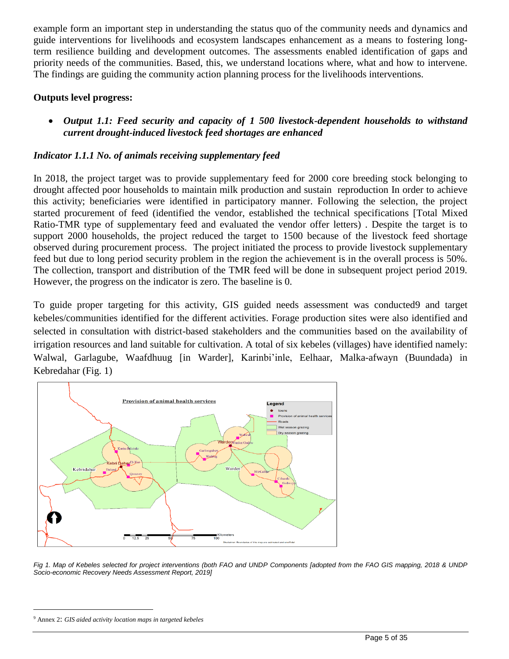example form an important step in understanding the status quo of the community needs and dynamics and guide interventions for livelihoods and ecosystem landscapes enhancement as a means to fostering longterm resilience building and development outcomes. The assessments enabled identification of gaps and priority needs of the communities. Based, this, we understand locations where, what and how to intervene. The findings are guiding the community action planning process for the livelihoods interventions.

## **Outputs level progress:**

• *Output 1.1: Feed security and capacity of 1 500 livestock-dependent households to withstand current drought-induced livestock feed shortages are enhanced*

# *Indicator 1.1.1 No. of animals receiving supplementary feed*

In 2018, the project target was to provide supplementary feed for 2000 core breeding stock belonging to drought affected poor households to maintain milk production and sustain reproduction In order to achieve this activity; beneficiaries were identified in participatory manner. Following the selection, the project started procurement of feed (identified the vendor, established the technical specifications [Total Mixed Ratio-TMR type of supplementary feed and evaluated the vendor offer letters) . Despite the target is to support 2000 households, the project reduced the target to 1500 because of the livestock feed shortage observed during procurement process. The project initiated the process to provide livestock supplementary feed but due to long period security problem in the region the achievement is in the overall process is 50%. The collection, transport and distribution of the TMR feed will be done in subsequent project period 2019. However, the progress on the indicator is zero. The baseline is 0.

To guide proper targeting for this activity, GIS guided needs assessment was conducted9 and target kebeles/communities identified for the different activities. Forage production sites were also identified and selected in consultation with district-based stakeholders and the communities based on the availability of irrigation resources and land suitable for cultivation. A total of six kebeles (villages) have identified namely: Walwal, Garlagube, Waafdhuug [in Warder], Karinbi'inle, Eelhaar, Malka-afwayn (Buundada) in Kebredahar (Fig. 1)



*Fig 1. Map of Kebeles selected for project interventions (both FAO and UNDP Components [adopted from the FAO GIS mapping, 2018 & UNDP Socio-economic Recovery Needs Assessment Report, 2019]*

 $\overline{a}$ 

<sup>9</sup> Annex 2: *GIS aided activity location maps in targeted kebeles*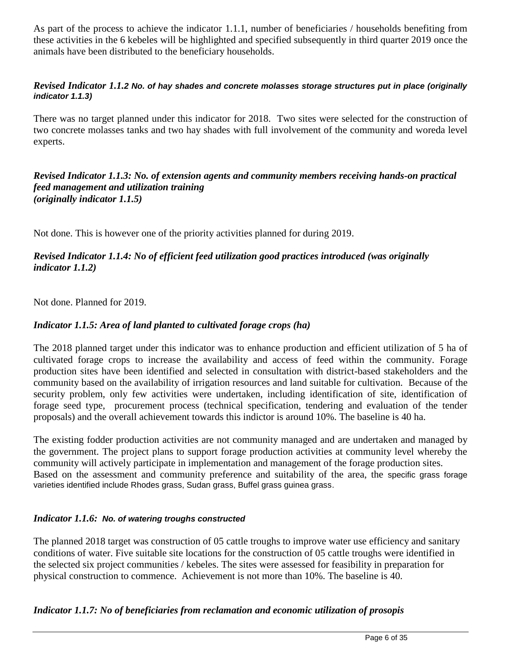As part of the process to achieve the indicator 1.1.1, number of beneficiaries / households benefiting from these activities in the 6 kebeles will be highlighted and specified subsequently in third quarter 2019 once the animals have been distributed to the beneficiary households.

## *Revised Indicator 1.1.2 No. of hay shades and concrete molasses storage structures put in place (originally indicator 1.1.3)*

There was no target planned under this indicator for 2018. Two sites were selected for the construction of two concrete molasses tanks and two hay shades with full involvement of the community and woreda level experts.

### *(originally indicator 1.1.5) Revised Indicator 1.1.3: No. of extension agents and community members receiving hands-on practical feed management and utilization training*

Not done. This is however one of the priority activities planned for during 2019.

# *Revised Indicator 1.1.4: No of efficient feed utilization good practices introduced (was originally indicator 1.1.2)*

Not done. Planned for 2019.

## *Indicator 1.1.5: Area of land planted to cultivated forage crops (ha)*

The 2018 planned target under this indicator was to enhance production and efficient utilization of 5 ha of cultivated forage crops to increase the availability and access of feed within the community. Forage production sites have been identified and selected in consultation with district-based stakeholders and the community based on the availability of irrigation resources and land suitable for cultivation. Because of the security problem, only few activities were undertaken, including identification of site, identification of forage seed type, procurement process (technical specification, tendering and evaluation of the tender proposals) and the overall achievement towards this indictor is around 10%. The baseline is 40 ha.

The existing fodder production activities are not community managed and are undertaken and managed by the government. The project plans to support forage production activities at community level whereby the community will actively participate in implementation and management of the forage production sites. Based on the assessment and community preference and suitability of the area, the specific grass forage varieties identified include Rhodes grass, Sudan grass, Buffel grass guinea grass.

## *Indicator 1.1.6: No. of watering troughs constructed*

The planned 2018 target was construction of 05 cattle troughs to improve water use efficiency and sanitary conditions of water. Five suitable site locations for the construction of 05 cattle troughs were identified in the selected six project communities / kebeles. The sites were assessed for feasibility in preparation for physical construction to commence. Achievement is not more than 10%. The baseline is 40.

## *Indicator 1.1.7: No of beneficiaries from reclamation and economic utilization of prosopis*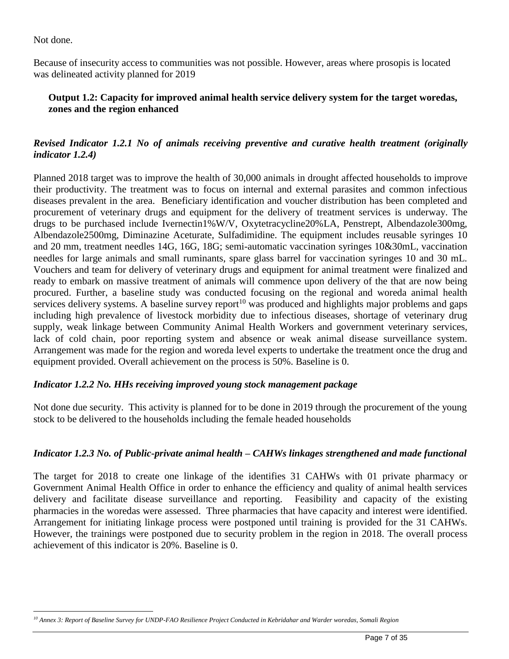Not done.

Because of insecurity access to communities was not possible. However, areas where prosopis is located was delineated activity planned for 2019

# **Output 1.2: Capacity for improved animal health service delivery system for the target woredas, zones and the region enhanced**

# *Revised Indicator 1.2.1 No of animals receiving preventive and curative health treatment (originally indicator 1.2.4)*

Planned 2018 target was to improve the health of 30,000 animals in drought affected households to improve their productivity. The treatment was to focus on internal and external parasites and common infectious diseases prevalent in the area. Beneficiary identification and voucher distribution has been completed and procurement of veterinary drugs and equipment for the delivery of treatment services is underway. The drugs to be purchased include Ivernectin1%W/V, Oxytetracycline20%LA, Penstrept, Albendazole300mg, Albendazole2500mg, Diminazine Aceturate, Sulfadimidine. The equipment includes reusable syringes 10 and 20 mm, treatment needles 14G, 16G, 18G; semi-automatic vaccination syringes 10&30mL, vaccination needles for large animals and small ruminants, spare glass barrel for vaccination syringes 10 and 30 mL. Vouchers and team for delivery of veterinary drugs and equipment for animal treatment were finalized and ready to embark on massive treatment of animals will commence upon delivery of the that are now being procured. Further, a baseline study was conducted focusing on the regional and woreda animal health services delivery systems. A baseline survey report<sup>10</sup> was produced and highlights major problems and gaps including high prevalence of livestock morbidity due to infectious diseases, shortage of veterinary drug supply, weak linkage between Community Animal Health Workers and government veterinary services, lack of cold chain, poor reporting system and absence or weak animal disease surveillance system. Arrangement was made for the region and woreda level experts to undertake the treatment once the drug and equipment provided. Overall achievement on the process is 50%. Baseline is 0.

## *Indicator 1.2.2 No. HHs receiving improved young stock management package*

Not done due security. This activity is planned for to be done in 2019 through the procurement of the young stock to be delivered to the households including the female headed households

## *Indicator 1.2.3 No. of Public-private animal health – CAHWs linkages strengthened and made functional*

The target for 2018 to create one linkage of the identifies 31 CAHWs with 01 private pharmacy or Government Animal Health Office in order to enhance the efficiency and quality of animal health services delivery and facilitate disease surveillance and reporting. Feasibility and capacity of the existing pharmacies in the woredas were assessed. Three pharmacies that have capacity and interest were identified. Arrangement for initiating linkage process were postponed until training is provided for the 31 CAHWs. However, the trainings were postponed due to security problem in the region in 2018. The overall process achievement of this indicator is 20%. Baseline is 0.

 $\overline{a}$ *<sup>10</sup> Annex 3: Report of Baseline Survey for UNDP-FAO Resilience Project Conducted in Kebridahar and Warder woredas, Somali Region*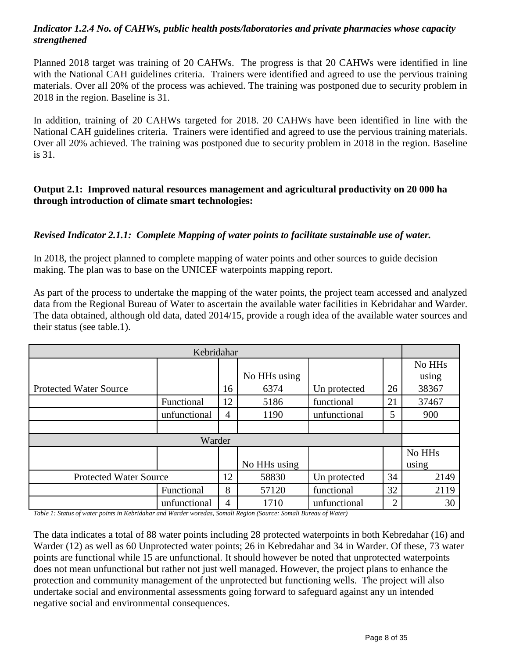# *Indicator 1.2.4 No. of CAHWs, public health posts/laboratories and private pharmacies whose capacity strengthened*

Planned 2018 target was training of 20 CAHWs. The progress is that 20 CAHWs were identified in line with the National CAH guidelines criteria. Trainers were identified and agreed to use the pervious training materials. Over all 20% of the process was achieved. The training was postponed due to security problem in 2018 in the region. Baseline is 31.

In addition, training of 20 CAHWs targeted for 2018. 20 CAHWs have been identified in line with the National CAH guidelines criteria. Trainers were identified and agreed to use the pervious training materials. Over all 20% achieved. The training was postponed due to security problem in 2018 in the region. Baseline is 31.

## **Output 2.1: Improved natural resources management and agricultural productivity on 20 000 ha through introduction of climate smart technologies:**

## *Revised Indicator 2.1.1: Complete Mapping of water points to facilitate sustainable use of water.*

In 2018, the project planned to complete mapping of water points and other sources to guide decision making. The plan was to base on the UNICEF waterpoints mapping report.

As part of the process to undertake the mapping of the water points, the project team accessed and analyzed data from the Regional Bureau of Water to ascertain the available water facilities in Kebridahar and Warder. The data obtained, although old data, dated 2014/15, provide a rough idea of the available water sources and their status (see table.1).

| Kebridahar                    |              |                |              |              |                |                    |
|-------------------------------|--------------|----------------|--------------|--------------|----------------|--------------------|
|                               |              |                |              |              |                | No HH <sub>s</sub> |
|                               |              |                | No HHs using |              |                | using              |
| <b>Protected Water Source</b> |              | 16             | 6374         | Un protected | 26             | 38367              |
|                               | Functional   | 12             | 5186         | functional   | 21             | 37467              |
|                               | unfunctional | 4              | 1190         | unfunctional | 5              | 900                |
|                               |              |                |              |              |                |                    |
| Warder                        |              |                |              |              |                |                    |
|                               |              |                |              |              |                | No HH <sub>s</sub> |
|                               |              |                | No HHs using |              |                | using              |
| <b>Protected Water Source</b> |              | 12             | 58830        | Un protected | 34             | 2149               |
|                               | Functional   | 8              | 57120        | functional   | 32             | 2119               |
|                               | unfunctional | $\overline{4}$ | 1710         | unfunctional | $\overline{2}$ | 30                 |

*Table 1: Status of water points in Kebridahar and Warder woredas, Somali Region (Source: Somali Bureau of Water)*

The data indicates a total of 88 water points including 28 protected waterpoints in both Kebredahar (16) and Warder (12) as well as 60 Unprotected water points; 26 in Kebredahar and 34 in Warder. Of these, 73 water points are functional while 15 are unfunctional. It should however be noted that unprotected waterpoints does not mean unfunctional but rather not just well managed. However, the project plans to enhance the protection and community management of the unprotected but functioning wells. The project will also undertake social and environmental assessments going forward to safeguard against any un intended negative social and environmental consequences.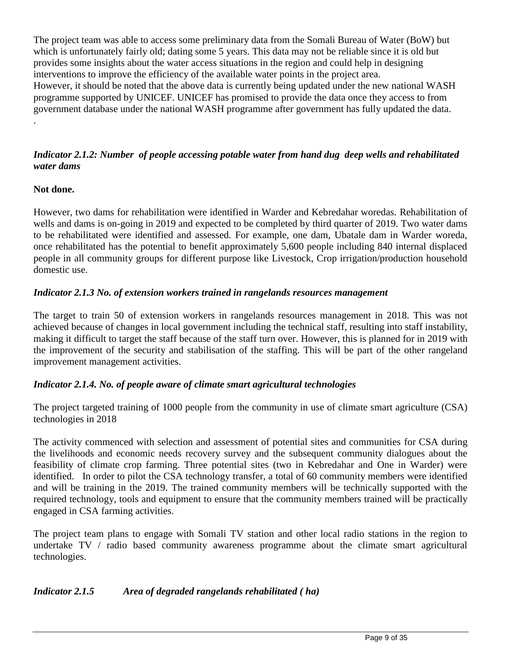The project team was able to access some preliminary data from the Somali Bureau of Water (BoW) but which is unfortunately fairly old; dating some 5 years. This data may not be reliable since it is old but provides some insights about the water access situations in the region and could help in designing interventions to improve the efficiency of the available water points in the project area. However, it should be noted that the above data is currently being updated under the new national WASH programme supported by UNICEF. UNICEF has promised to provide the data once they access to from government database under the national WASH programme after government has fully updated the data. .

# *Indicator 2.1.2: Number of people accessing potable water from hand dug deep wells and rehabilitated water dams*

# **Not done.**

However, two dams for rehabilitation were identified in Warder and Kebredahar woredas. Rehabilitation of wells and dams is on-going in 2019 and expected to be completed by third quarter of 2019. Two water dams to be rehabilitated were identified and assessed. For example, one dam, Ubatale dam in Warder woreda, once rehabilitated has the potential to benefit approximately 5,600 people including 840 internal displaced people in all community groups for different purpose like Livestock, Crop irrigation/production household domestic use.

# *Indicator 2.1.3 No. of extension workers trained in rangelands resources management*

The target to train 50 of extension workers in rangelands resources management in 2018. This was not achieved because of changes in local government including the technical staff, resulting into staff instability, making it difficult to target the staff because of the staff turn over. However, this is planned for in 2019 with the improvement of the security and stabilisation of the staffing. This will be part of the other rangeland improvement management activities.

## *Indicator 2.1.4. No. of people aware of climate smart agricultural technologies*

The project targeted training of 1000 people from the community in use of climate smart agriculture (CSA) technologies in 2018

The activity commenced with selection and assessment of potential sites and communities for CSA during the livelihoods and economic needs recovery survey and the subsequent community dialogues about the feasibility of climate crop farming. Three potential sites (two in Kebredahar and One in Warder) were identified. In order to pilot the CSA technology transfer, a total of 60 community members were identified and will be training in the 2019. The trained community members will be technically supported with the required technology, tools and equipment to ensure that the community members trained will be practically engaged in CSA farming activities.

The project team plans to engage with Somali TV station and other local radio stations in the region to undertake TV / radio based community awareness programme about the climate smart agricultural technologies.

# *Indicator 2.1.5 Area of degraded rangelands rehabilitated ( ha)*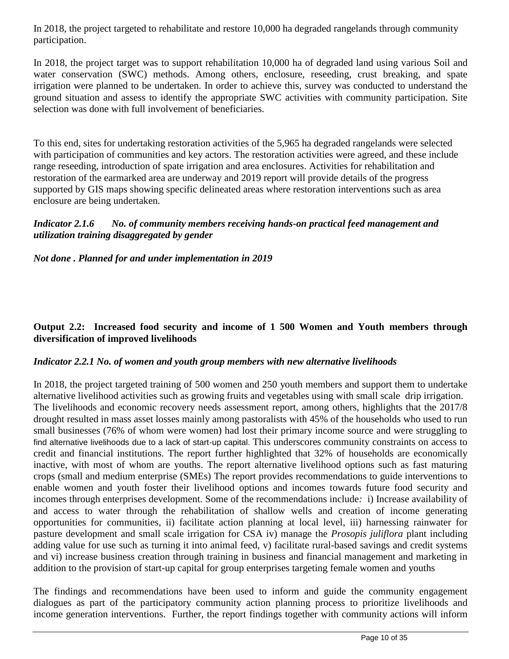In 2018, the project targeted to rehabilitate and restore 10,000 ha degraded rangelands through community participation.

In 2018, the project target was to support rehabilitation 10,000 ha of degraded land using various Soil and water conservation (SWC) methods. Among others, enclosure, reseeding, crust breaking, and spate irrigation were planned to be undertaken. In order to achieve this, survey was conducted to understand the ground situation and assess to identify the appropriate SWC activities with community participation. Site selection was done with full involvement of beneficiaries.

To this end, sites for undertaking restoration activities of the 5,965 ha degraded rangelands were selected with participation of communities and key actors. The restoration activities were agreed, and these include range reseeding, introduction of spate irrigation and area enclosures. Activities for rehabilitation and restoration of the earmarked area are underway and 2019 report will provide details of the progress supported by GIS maps showing specific delineated areas where restoration interventions such as area enclosure are being undertaken.

## *Indicator 2.1.6 No. of community members receiving hands-on practical feed management and utilization training disaggregated by gender*

## *Not done . Planned for and under implementation in 2019*

# **Output 2.2: Increased food security and income of 1 500 Women and Youth members through diversification of improved livelihoods**

### *Indicator 2.2.1 No. of women and youth group members with new alternative livelihoods*

In 2018, the project targeted training of 500 women and 250 youth members and support them to undertake alternative livelihood activities such as growing fruits and vegetables using with small scale drip irrigation. The livelihoods and economic recovery needs assessment report, among others, highlights that the 2017/8 drought resulted in mass asset losses mainly among pastoralists with 45% of the households who used to run small businesses (76% of whom were women) had lost their primary income source and were struggling to find alternative livelihoods due to a lack of start-up capital. This underscores community constraints on access to credit and financial institutions. The report further highlighted that 32% of households are economically inactive, with most of whom are youths. The report alternative livelihood options such as fast maturing crops (small and medium enterprise (SMEs) The report provides recommendations to guide interventions to enable women and youth foster their livelihood options and incomes towards future food security and incomes through enterprises development. Some of the recommendations include*:* i) Increase availability of and access to water through the rehabilitation of shallow wells and creation of income generating opportunities for communities, ii) facilitate action planning at local level, iii) harnessing rainwater for pasture development and small scale irrigation for CSA iv) manage the *Prosopis juliflora* plant including adding value for use such as turning it into animal feed, v) facilitate rural-based savings and credit systems and vi) increase business creation through training in business and financial management and marketing in addition to the provision of start-up capital for group enterprises targeting female women and youths

The findings and recommendations have been used to inform and guide the community engagement dialogues as part of the participatory community action planning process to prioritize livelihoods and income generation interventions. Further, the report findings together with community actions will inform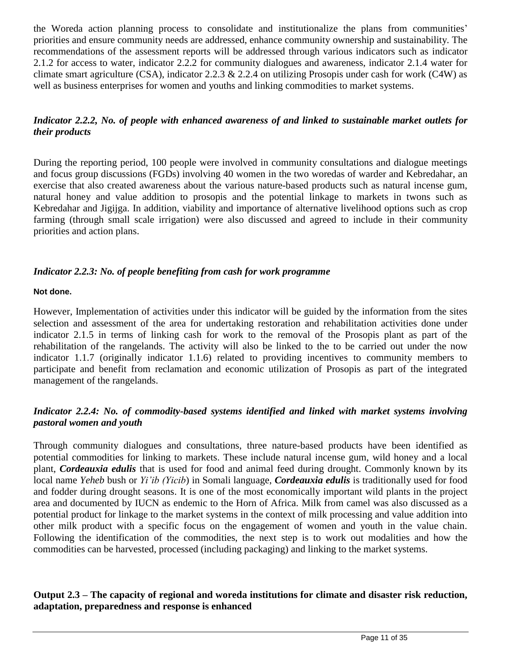the Woreda action planning process to consolidate and institutionalize the plans from communities' priorities and ensure community needs are addressed, enhance community ownership and sustainability. The recommendations of the assessment reports will be addressed through various indicators such as indicator 2.1.2 for access to water, indicator 2.2.2 for community dialogues and awareness, indicator 2.1.4 water for climate smart agriculture (CSA), indicator 2.2.3  $\&$  2.2.4 on utilizing Prosopis under cash for work (C4W) as well as business enterprises for women and youths and linking commodities to market systems.

# *Indicator 2.2.2, No. of people with enhanced awareness of and linked to sustainable market outlets for their products*

During the reporting period, 100 people were involved in community consultations and dialogue meetings and focus group discussions (FGDs) involving 40 women in the two woredas of warder and Kebredahar, an exercise that also created awareness about the various nature-based products such as natural incense gum, natural honey and value addition to prosopis and the potential linkage to markets in twons such as Kebredahar and Jigijga. In addition, viability and importance of alternative livelihood options such as crop farming (through small scale irrigation) were also discussed and agreed to include in their community priorities and action plans.

# *Indicator 2.2.3: No. of people benefiting from cash for work programme*

## **Not done.**

However, Implementation of activities under this indicator will be guided by the information from the sites selection and assessment of the area for undertaking restoration and rehabilitation activities done under indicator 2.1.5 in terms of linking cash for work to the removal of the Prosopis plant as part of the rehabilitation of the rangelands. The activity will also be linked to the to be carried out under the now indicator 1.1.7 (originally indicator 1.1.6) related to providing incentives to community members to participate and benefit from reclamation and economic utilization of Prosopis as part of the integrated management of the rangelands.

# *Indicator 2.2.4: No. of commodity-based systems identified and linked with market systems involving pastoral women and youth*

Through community dialogues and consultations, three nature-based products have been identified as potential commodities for linking to markets. These include natural incense gum, wild honey and a local plant, *Cordeauxia edulis* that is used for food and animal feed during drought. Commonly known by its local name *Yeheb* bush or *Yi'ib (Yicib*) in Somali language, *Cordeauxia edulis* is traditionally used for food and fodder during drought seasons. It is one of the most economically important wild plants in the project area and documented by IUCN as endemic to the Horn of Africa. Milk from camel was also discussed as a potential product for linkage to the market systems in the context of milk processing and value addition into other milk product with a specific focus on the engagement of women and youth in the value chain. Following the identification of the commodities, the next step is to work out modalities and how the commodities can be harvested, processed (including packaging) and linking to the market systems.

## **Output 2.3 – The capacity of regional and woreda institutions for climate and disaster risk reduction, adaptation, preparedness and response is enhanced**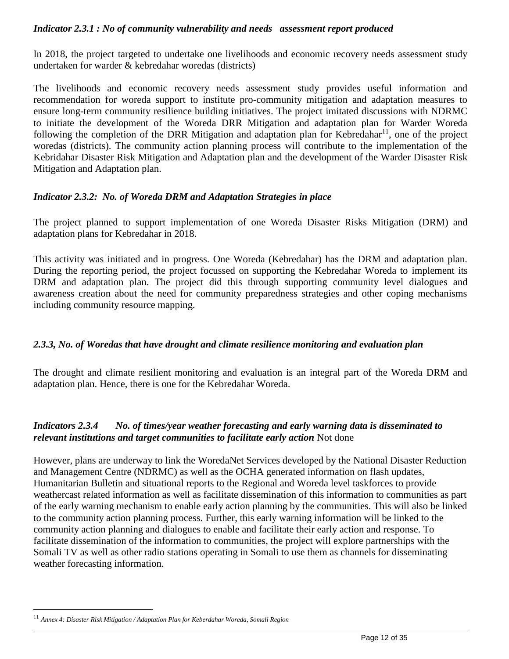## *Indicator 2.3.1 : No of community vulnerability and needs assessment report produced*

In 2018, the project targeted to undertake one livelihoods and economic recovery needs assessment study undertaken for warder & kebredahar woredas (districts)

The livelihoods and economic recovery needs assessment study provides useful information and recommendation for woreda support to institute pro-community mitigation and adaptation measures to ensure long-term community resilience building initiatives. The project imitated discussions with NDRMC to initiate the development of the Woreda DRR Mitigation and adaptation plan for Warder Woreda following the completion of the DRR Mitigation and adaptation plan for Kebredahar<sup>11</sup>, one of the project woredas (districts). The community action planning process will contribute to the implementation of the Kebridahar Disaster Risk Mitigation and Adaptation plan and the development of the Warder Disaster Risk Mitigation and Adaptation plan.

# *Indicator 2.3.2: No. of Woreda DRM and Adaptation Strategies in place*

The project planned to support implementation of one Woreda Disaster Risks Mitigation (DRM) and adaptation plans for Kebredahar in 2018.

This activity was initiated and in progress. One Woreda (Kebredahar) has the DRM and adaptation plan. During the reporting period, the project focussed on supporting the Kebredahar Woreda to implement its DRM and adaptation plan. The project did this through supporting community level dialogues and awareness creation about the need for community preparedness strategies and other coping mechanisms including community resource mapping.

# *2.3.3, No. of Woredas that have drought and climate resilience monitoring and evaluation plan*

The drought and climate resilient monitoring and evaluation is an integral part of the Woreda DRM and adaptation plan. Hence, there is one for the Kebredahar Woreda.

# *Indicators 2.3.4 No. of times/year weather forecasting and early warning data is disseminated to relevant institutions and target communities to facilitate early action* Not done

However, plans are underway to link the WoredaNet Services developed by the National Disaster Reduction and Management Centre (NDRMC) as well as the OCHA generated information on flash updates, Humanitarian Bulletin and situational reports to the Regional and Woreda level taskforces to provide weathercast related information as well as facilitate dissemination of this information to communities as part of the early warning mechanism to enable early action planning by the communities. This will also be linked to the community action planning process. Further, this early warning information will be linked to the community action planning and dialogues to enable and facilitate their early action and response. To facilitate dissemination of the information to communities, the project will explore partnerships with the Somali TV as well as other radio stations operating in Somali to use them as channels for disseminating weather forecasting information.

 $\overline{a}$ 

<sup>11</sup> *Annex 4: Disaster Risk Mitigation / Adaptation Plan for Keberdahar Woreda, Somali Region*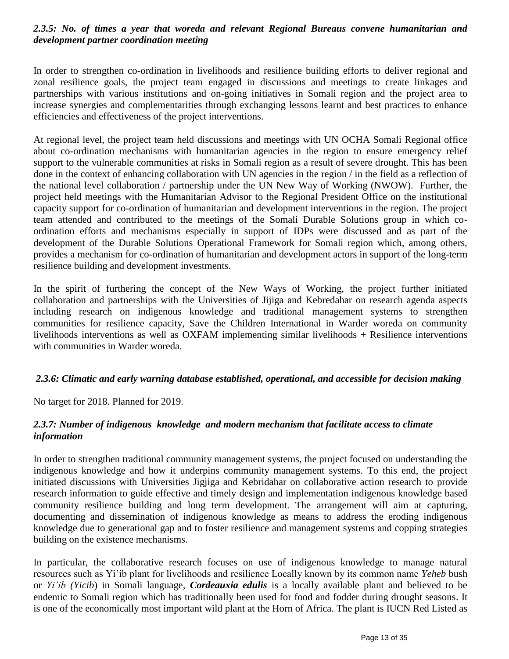## *2.3.5: No. of times a year that woreda and relevant Regional Bureaus convene humanitarian and development partner coordination meeting*

In order to strengthen co-ordination in livelihoods and resilience building efforts to deliver regional and zonal resilience goals, the project team engaged in discussions and meetings to create linkages and partnerships with various institutions and on-going initiatives in Somali region and the project area to increase synergies and complementarities through exchanging lessons learnt and best practices to enhance efficiencies and effectiveness of the project interventions.

At regional level, the project team held discussions and meetings with UN OCHA Somali Regional office about co-ordination mechanisms with humanitarian agencies in the region to ensure emergency relief support to the vulnerable communities at risks in Somali region as a result of severe drought. This has been done in the context of enhancing collaboration with UN agencies in the region / in the field as a reflection of the national level collaboration / partnership under the UN New Way of Working (NWOW). Further, the project held meetings with the Humanitarian Advisor to the Regional President Office on the institutional capacity support for co-ordination of humanitarian and development interventions in the region. The project team attended and contributed to the meetings of the Somali Durable Solutions group in which coordination efforts and mechanisms especially in support of IDPs were discussed and as part of the development of the Durable Solutions Operational Framework for Somali region which, among others, provides a mechanism for co-ordination of humanitarian and development actors in support of the long-term resilience building and development investments.

In the spirit of furthering the concept of the New Ways of Working, the project further initiated collaboration and partnerships with the Universities of Jijiga and Kebredahar on research agenda aspects including research on indigenous knowledge and traditional management systems to strengthen communities for resilience capacity, Save the Children International in Warder woreda on community livelihoods interventions as well as OXFAM implementing similar livelihoods + Resilience interventions with communities in Warder woreda.

## *2.3.6: Climatic and early warning database established, operational, and accessible for decision making*

No target for 2018. Planned for 2019.

## *2.3.7: Number of indigenous knowledge and modern mechanism that facilitate access to climate information*

In order to strengthen traditional community management systems, the project focused on understanding the indigenous knowledge and how it underpins community management systems. To this end, the project initiated discussions with Universities Jigjiga and Kebridahar on collaborative action research to provide research information to guide effective and timely design and implementation indigenous knowledge based community resilience building and long term development. The arrangement will aim at capturing, documenting and dissemination of indigenous knowledge as means to address the eroding indigenous knowledge due to generational gap and to foster resilience and management systems and copping strategies building on the existence mechanisms.

In particular, the collaborative research focuses on use of indigenous knowledge to manage natural resources such as Yi'ib plant for livelihoods and resilience Locally known by its common name *Yeheb* bush or *Yi'ib (Yicib*) in Somali language, *Cordeauxia edulis* is a locally available plant and believed to be endemic to Somali region which has traditionally been used for food and fodder during drought seasons. It is one of the economically most important wild plant at the Horn of Africa. The plant is IUCN Red Listed as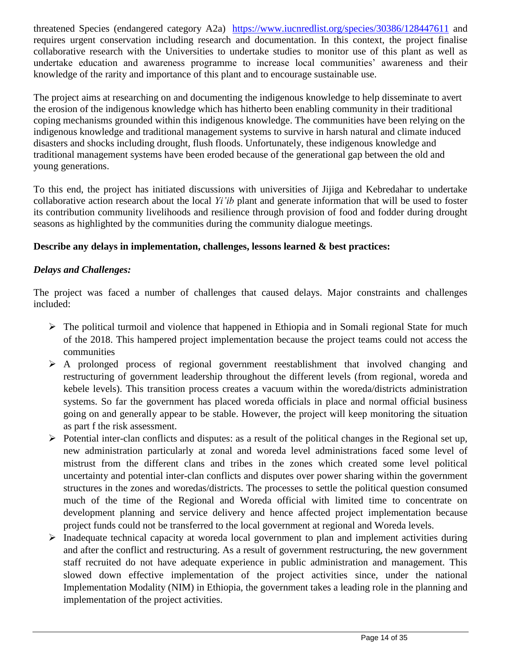threatened Species (endangered category A2a) <https://www.iucnredlist.org/species/30386/128447611> and requires urgent conservation including research and documentation. In this context, the project finalise collaborative research with the Universities to undertake studies to monitor use of this plant as well as undertake education and awareness programme to increase local communities' awareness and their knowledge of the rarity and importance of this plant and to encourage sustainable use.

The project aims at researching on and documenting the indigenous knowledge to help disseminate to avert the erosion of the indigenous knowledge which has hitherto been enabling community in their traditional coping mechanisms grounded within this indigenous knowledge. The communities have been relying on the indigenous knowledge and traditional management systems to survive in harsh natural and climate induced disasters and shocks including drought, flush floods. Unfortunately, these indigenous knowledge and traditional management systems have been eroded because of the generational gap between the old and young generations.

To this end, the project has initiated discussions with universities of Jijiga and Kebredahar to undertake collaborative action research about the local *Yi'ib* plant and generate information that will be used to foster its contribution community livelihoods and resilience through provision of food and fodder during drought seasons as highlighted by the communities during the community dialogue meetings.

# **Describe any delays in implementation, challenges, lessons learned & best practices:**

## *Delays and Challenges:*

The project was faced a number of challenges that caused delays. Major constraints and challenges included:

- ➢ The political turmoil and violence that happened in Ethiopia and in Somali regional State for much of the 2018. This hampered project implementation because the project teams could not access the communities
- ➢ A prolonged process of regional government reestablishment that involved changing and restructuring of government leadership throughout the different levels (from regional, woreda and kebele levels). This transition process creates a vacuum within the woreda/districts administration systems. So far the government has placed woreda officials in place and normal official business going on and generally appear to be stable. However, the project will keep monitoring the situation as part f the risk assessment.
- ➢ Potential inter-clan conflicts and disputes: as a result of the political changes in the Regional set up, new administration particularly at zonal and woreda level administrations faced some level of mistrust from the different clans and tribes in the zones which created some level political uncertainty and potential inter-clan conflicts and disputes over power sharing within the government structures in the zones and woredas/districts. The processes to settle the political question consumed much of the time of the Regional and Woreda official with limited time to concentrate on development planning and service delivery and hence affected project implementation because project funds could not be transferred to the local government at regional and Woreda levels.
- ➢ Inadequate technical capacity at woreda local government to plan and implement activities during and after the conflict and restructuring. As a result of government restructuring, the new government staff recruited do not have adequate experience in public administration and management. This slowed down effective implementation of the project activities since, under the national Implementation Modality (NIM) in Ethiopia, the government takes a leading role in the planning and implementation of the project activities.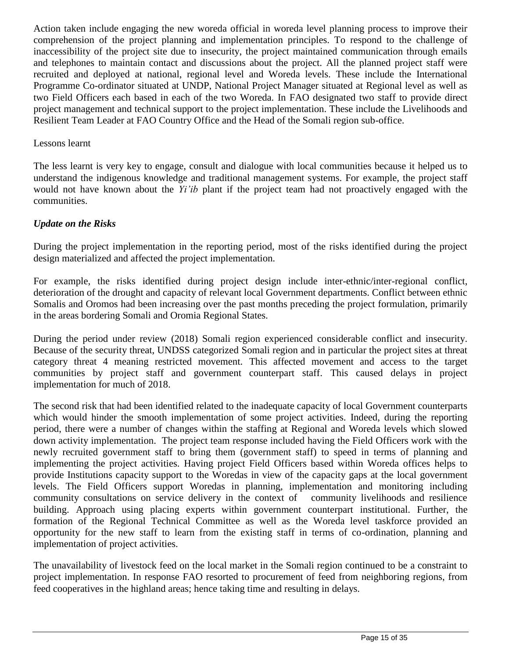Action taken include engaging the new woreda official in woreda level planning process to improve their comprehension of the project planning and implementation principles. To respond to the challenge of inaccessibility of the project site due to insecurity, the project maintained communication through emails and telephones to maintain contact and discussions about the project. All the planned project staff were recruited and deployed at national, regional level and Woreda levels. These include the International Programme Co-ordinator situated at UNDP, National Project Manager situated at Regional level as well as two Field Officers each based in each of the two Woreda. In FAO designated two staff to provide direct project management and technical support to the project implementation. These include the Livelihoods and Resilient Team Leader at FAO Country Office and the Head of the Somali region sub-office.

## Lessons learnt

The less learnt is very key to engage, consult and dialogue with local communities because it helped us to understand the indigenous knowledge and traditional management systems. For example, the project staff would not have known about the *Yi'ib* plant if the project team had not proactively engaged with the communities.

## *Update on the Risks*

During the project implementation in the reporting period, most of the risks identified during the project design materialized and affected the project implementation.

For example, the risks identified during project design include inter-ethnic/inter-regional conflict, deterioration of the drought and capacity of relevant local Government departments. Conflict between ethnic Somalis and Oromos had been increasing over the past months preceding the project formulation, primarily in the areas bordering Somali and Oromia Regional States.

During the period under review (2018) Somali region experienced considerable conflict and insecurity. Because of the security threat, UNDSS categorized Somali region and in particular the project sites at threat category threat 4 meaning restricted movement. This affected movement and access to the target communities by project staff and government counterpart staff. This caused delays in project implementation for much of 2018.

The second risk that had been identified related to the inadequate capacity of local Government counterparts which would hinder the smooth implementation of some project activities. Indeed, during the reporting period, there were a number of changes within the staffing at Regional and Woreda levels which slowed down activity implementation. The project team response included having the Field Officers work with the newly recruited government staff to bring them (government staff) to speed in terms of planning and implementing the project activities. Having project Field Officers based within Woreda offices helps to provide Institutions capacity support to the Woredas in view of the capacity gaps at the local government levels. The Field Officers support Woredas in planning, implementation and monitoring including community consultations on service delivery in the context of community livelihoods and resilience building. Approach using placing experts within government counterpart institutional. Further, the formation of the Regional Technical Committee as well as the Woreda level taskforce provided an opportunity for the new staff to learn from the existing staff in terms of co-ordination, planning and implementation of project activities.

The unavailability of livestock feed on the local market in the Somali region continued to be a constraint to project implementation. In response FAO resorted to procurement of feed from neighboring regions, from feed cooperatives in the highland areas; hence taking time and resulting in delays.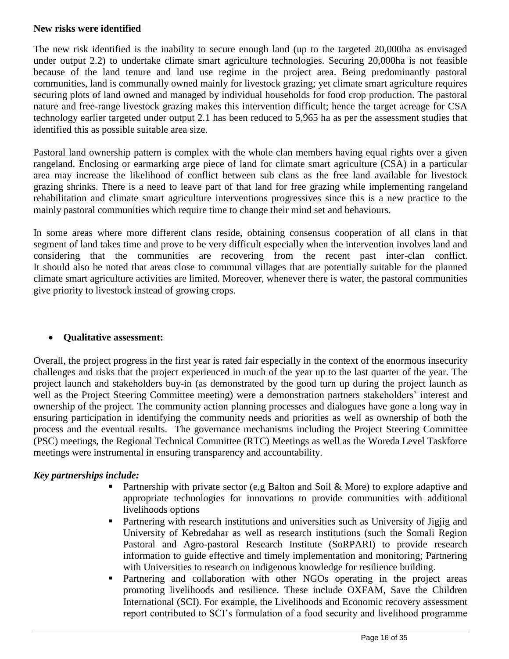## **New risks were identified**

The new risk identified is the inability to secure enough land (up to the targeted 20,000ha as envisaged under output 2.2) to undertake climate smart agriculture technologies. Securing 20,000ha is not feasible because of the land tenure and land use regime in the project area. Being predominantly pastoral communities, land is communally owned mainly for livestock grazing; yet climate smart agriculture requires securing plots of land owned and managed by individual households for food crop production. The pastoral nature and free-range livestock grazing makes this intervention difficult; hence the target acreage for CSA technology earlier targeted under output 2.1 has been reduced to 5,965 ha as per the assessment studies that identified this as possible suitable area size.

Pastoral land ownership pattern is complex with the whole clan members having equal rights over a given rangeland. Enclosing or earmarking arge piece of land for climate smart agriculture (CSA) in a particular area may increase the likelihood of conflict between sub clans as the free land available for livestock grazing shrinks. There is a need to leave part of that land for free grazing while implementing rangeland rehabilitation and climate smart agriculture interventions progressives since this is a new practice to the mainly pastoral communities which require time to change their mind set and behaviours.

In some areas where more different clans reside, obtaining consensus cooperation of all clans in that segment of land takes time and prove to be very difficult especially when the intervention involves land and considering that the communities are recovering from the recent past inter-clan conflict. It should also be noted that areas close to communal villages that are potentially suitable for the planned climate smart agriculture activities are limited. Moreover, whenever there is water, the pastoral communities give priority to livestock instead of growing crops.

## • **Qualitative assessment:**

Overall, the project progress in the first year is rated fair especially in the context of the enormous insecurity challenges and risks that the project experienced in much of the year up to the last quarter of the year. The project launch and stakeholders buy-in (as demonstrated by the good turn up during the project launch as well as the Project Steering Committee meeting) were a demonstration partners stakeholders' interest and ownership of the project. The community action planning processes and dialogues have gone a long way in ensuring participation in identifying the community needs and priorities as well as ownership of both the process and the eventual results. The governance mechanisms including the Project Steering Committee (PSC) meetings, the Regional Technical Committee (RTC) Meetings as well as the Woreda Level Taskforce meetings were instrumental in ensuring transparency and accountability.

## *Key partnerships include:*

- **•** Partnership with private sector (e.g Balton and Soil & More) to explore adaptive and appropriate technologies for innovations to provide communities with additional livelihoods options
- **•** Partnering with research institutions and universities such as University of Jigjig and University of Kebredahar as well as research institutions (such the Somali Region Pastoral and Agro-pastoral Research Institute (SoRPARI) to provide research information to guide effective and timely implementation and monitoring; Partnering with Universities to research on indigenous knowledge for resilience building.
- **•** Partnering and collaboration with other NGOs operating in the project areas promoting livelihoods and resilience. These include OXFAM, Save the Children International (SCI). For example, the Livelihoods and Economic recovery assessment report contributed to SCI's formulation of a food security and livelihood programme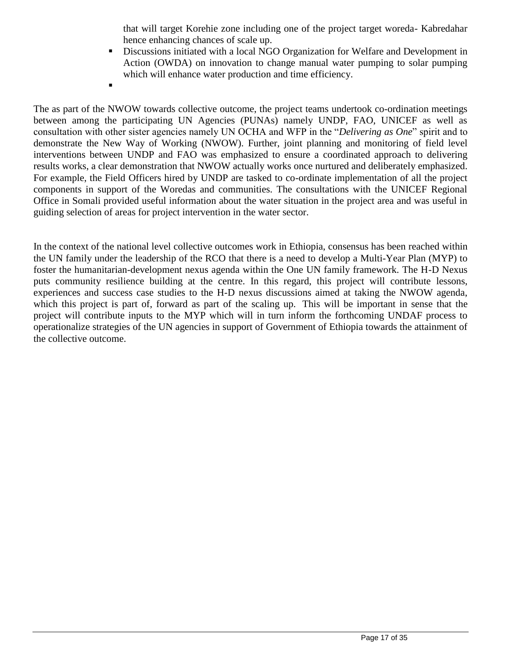that will target Korehie zone including one of the project target woreda- Kabredahar hence enhancing chances of scale up.

- Discussions initiated with a local NGO Organization for Welfare and Development in Action (OWDA) on innovation to change manual water pumping to solar pumping which will enhance water production and time efficiency.
- ▪

The as part of the NWOW towards collective outcome, the project teams undertook co-ordination meetings between among the participating UN Agencies (PUNAs) namely UNDP, FAO, UNICEF as well as consultation with other sister agencies namely UN OCHA and WFP in the "*Delivering as One*" spirit and to demonstrate the New Way of Working (NWOW). Further, joint planning and monitoring of field level interventions between UNDP and FAO was emphasized to ensure a coordinated approach to delivering results works, a clear demonstration that NWOW actually works once nurtured and deliberately emphasized. For example, the Field Officers hired by UNDP are tasked to co-ordinate implementation of all the project components in support of the Woredas and communities. The consultations with the UNICEF Regional Office in Somali provided useful information about the water situation in the project area and was useful in guiding selection of areas for project intervention in the water sector.

In the context of the national level collective outcomes work in Ethiopia, consensus has been reached within the UN family under the leadership of the RCO that there is a need to develop a Multi-Year Plan (MYP) to foster the humanitarian-development nexus agenda within the One UN family framework. The H-D Nexus puts community resilience building at the centre. In this regard, this project will contribute lessons, experiences and success case studies to the H-D nexus discussions aimed at taking the NWOW agenda, which this project is part of, forward as part of the scaling up. This will be important in sense that the project will contribute inputs to the MYP which will in turn inform the forthcoming UNDAF process to operationalize strategies of the UN agencies in support of Government of Ethiopia towards the attainment of the collective outcome.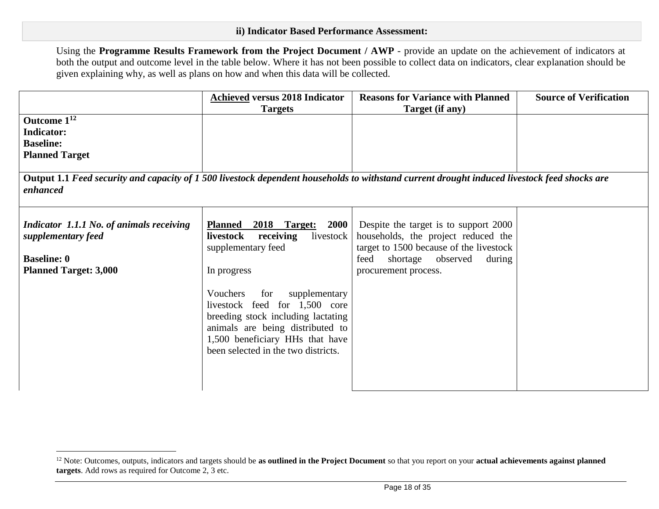Using the **Programme Results Framework from the Project Document / AWP** - provide an update on the achievement of indicators at both the output and outcome level in the table below. Where it has not been possible to collect data on indicators, clear explanation should be given explaining why, as well as plans on how and when this data will be collected.

|                                                                                                                                                         | <b>Achieved versus 2018 Indicator</b>                                                                                                                                                                                                                                                                                                                     | <b>Reasons for Variance with Planned</b>                                                                                                                                               | <b>Source of Verification</b> |
|---------------------------------------------------------------------------------------------------------------------------------------------------------|-----------------------------------------------------------------------------------------------------------------------------------------------------------------------------------------------------------------------------------------------------------------------------------------------------------------------------------------------------------|----------------------------------------------------------------------------------------------------------------------------------------------------------------------------------------|-------------------------------|
| Outcome 1 <sup>12</sup><br><b>Indicator:</b><br><b>Baseline:</b><br><b>Planned Target</b>                                                               | <b>Targets</b>                                                                                                                                                                                                                                                                                                                                            | Target (if any)                                                                                                                                                                        |                               |
| Output 1.1 Feed security and capacity of 1500 livestock dependent households to withstand current drought induced livestock feed shocks are<br>enhanced |                                                                                                                                                                                                                                                                                                                                                           |                                                                                                                                                                                        |                               |
| Indicator 1.1.1 No. of animals receiving<br>supplementary feed<br><b>Baseline: 0</b><br><b>Planned Target: 3,000</b>                                    | <u>2018 Target:</u><br><b>2000</b><br><b>Planned</b><br>receiving<br>livestock<br>livestock<br>supplementary feed<br>In progress<br>Vouchers<br>supplementary<br>for<br>livestock feed for 1,500 core<br>breeding stock including lactating<br>animals are being distributed to<br>1,500 beneficiary HHs that have<br>been selected in the two districts. | Despite the target is to support 2000<br>households, the project reduced the<br>target to 1500 because of the livestock<br>shortage observed<br>feed<br>during<br>procurement process. |                               |

 $\overline{a}$ 

<sup>&</sup>lt;sup>12</sup> Note: Outcomes, outputs, indicators and targets should be **as outlined in the Project Document** so that you report on your **actual achievements against planned targets**. Add rows as required for Outcome 2, 3 etc.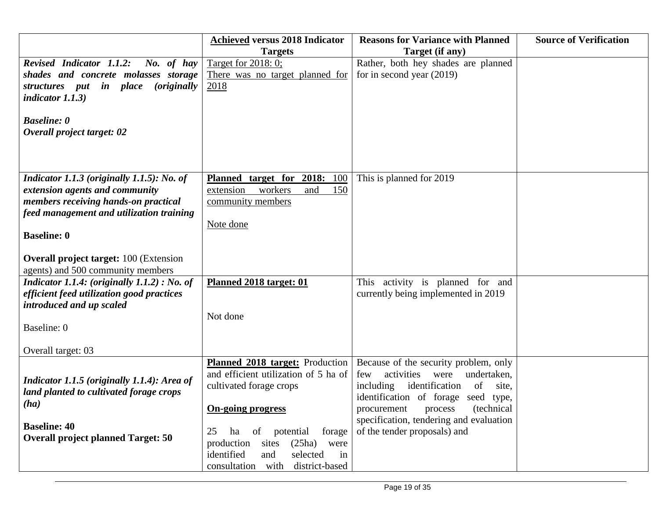|                                                                                       | <b>Achieved versus 2018 Indicator</b>                  | <b>Reasons for Variance with Planned</b>                           | <b>Source of Verification</b> |
|---------------------------------------------------------------------------------------|--------------------------------------------------------|--------------------------------------------------------------------|-------------------------------|
|                                                                                       | <b>Targets</b>                                         | Target (if any)                                                    |                               |
| <b>Revised Indicator 1.1.2:</b><br>No. of hay<br>shades and concrete molasses storage | Target for 2018: 0;<br>There was no target planned for | Rather, both hey shades are planned<br>for in second year $(2019)$ |                               |
| structures put in place<br><i>(originally)</i>                                        | 2018                                                   |                                                                    |                               |
| indicator $1.1.3$ )                                                                   |                                                        |                                                                    |                               |
|                                                                                       |                                                        |                                                                    |                               |
| <b>Baseline: 0</b>                                                                    |                                                        |                                                                    |                               |
| Overall project target: 02                                                            |                                                        |                                                                    |                               |
|                                                                                       |                                                        |                                                                    |                               |
|                                                                                       |                                                        |                                                                    |                               |
|                                                                                       |                                                        |                                                                    |                               |
| Indicator 1.1.3 (originally 1.1.5): No. of                                            | Planned target for<br><b>2018:</b><br>100              | This is planned for 2019                                           |                               |
| extension agents and community                                                        | extension workers<br>and<br>150                        |                                                                    |                               |
| members receiving hands-on practical<br>feed management and utilization training      | community members                                      |                                                                    |                               |
|                                                                                       | Note done                                              |                                                                    |                               |
| <b>Baseline: 0</b>                                                                    |                                                        |                                                                    |                               |
|                                                                                       |                                                        |                                                                    |                               |
| <b>Overall project target: 100 (Extension)</b>                                        |                                                        |                                                                    |                               |
| agents) and 500 community members                                                     |                                                        |                                                                    |                               |
| Indicator 1.1.4: (originally $1.1.2$ ) : No. of                                       | Planned 2018 target: 01                                | This activity is planned for and                                   |                               |
| efficient feed utilization good practices                                             |                                                        | currently being implemented in 2019                                |                               |
| introduced and up scaled                                                              |                                                        |                                                                    |                               |
|                                                                                       | Not done                                               |                                                                    |                               |
| Baseline: 0                                                                           |                                                        |                                                                    |                               |
| Overall target: 03                                                                    |                                                        |                                                                    |                               |
|                                                                                       | <b>Planned 2018 target:</b> Production                 | Because of the security problem, only                              |                               |
|                                                                                       | and efficient utilization of 5 ha of                   | activities<br>undertaken,<br>few<br>were                           |                               |
| Indicator 1.1.5 (originally 1.1.4): Area of                                           | cultivated forage crops                                | including<br>identification<br>of<br>site,                         |                               |
| land planted to cultivated forage crops                                               |                                                        | identification of forage seed type,                                |                               |
| (ha)                                                                                  | <b>On-going progress</b>                               | (technical<br>procurement<br>process                               |                               |
| <b>Baseline: 40</b>                                                                   |                                                        | specification, tendering and evaluation                            |                               |
| <b>Overall project planned Target: 50</b>                                             | 25<br>of potential<br>forage<br>ha                     | of the tender proposals) and                                       |                               |
|                                                                                       | sites<br>(25ha)<br>production<br>were                  |                                                                    |                               |
|                                                                                       | selected<br>identified<br>and<br>in                    |                                                                    |                               |
|                                                                                       | district-based<br>consultation with                    |                                                                    |                               |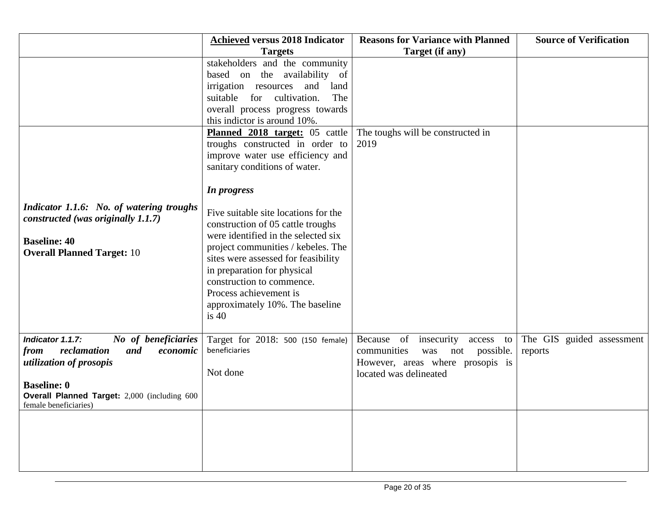|                                              | <b>Achieved versus 2018 Indicator</b>  | <b>Reasons for Variance with Planned</b> | <b>Source of Verification</b> |
|----------------------------------------------|----------------------------------------|------------------------------------------|-------------------------------|
|                                              | <b>Targets</b>                         | Target (if any)                          |                               |
|                                              | stakeholders and the community         |                                          |                               |
|                                              | based on the availability of           |                                          |                               |
|                                              | irrigation resources and<br>land       |                                          |                               |
|                                              | The<br>suitable<br>cultivation.<br>for |                                          |                               |
|                                              | overall process progress towards       |                                          |                               |
|                                              | this indictor is around 10%.           |                                          |                               |
|                                              | Planned 2018 target: 05 cattle         | The toughs will be constructed in        |                               |
|                                              | troughs constructed in order to        | 2019                                     |                               |
|                                              | improve water use efficiency and       |                                          |                               |
|                                              | sanitary conditions of water.          |                                          |                               |
|                                              | In progress                            |                                          |                               |
|                                              |                                        |                                          |                               |
| Indicator 1.1.6: No. of watering troughs     | Five suitable site locations for the   |                                          |                               |
| constructed (was originally 1.1.7)           | construction of 05 cattle troughs      |                                          |                               |
|                                              | were identified in the selected six    |                                          |                               |
| <b>Baseline: 40</b>                          | project communities / kebeles. The     |                                          |                               |
| <b>Overall Planned Target: 10</b>            | sites were assessed for feasibility    |                                          |                               |
|                                              | in preparation for physical            |                                          |                               |
|                                              | construction to commence.              |                                          |                               |
|                                              | Process achievement is                 |                                          |                               |
|                                              | approximately 10%. The baseline        |                                          |                               |
|                                              | is 40                                  |                                          |                               |
|                                              |                                        |                                          |                               |
| No of beneficiaries<br>Indicator 1.1.7:      | Target for 2018: 500 (150 female)      | Because of insecurity<br>access to       | The GIS guided assessment     |
| reclamation<br>from<br>and<br>economic       | beneficiaries                          | not possible.<br>communities<br>was      | reports                       |
| <i>utilization of prosopis</i>               |                                        | However, areas where prosopis is         |                               |
|                                              | Not done                               | located was delineated                   |                               |
| <b>Baseline: 0</b>                           |                                        |                                          |                               |
| Overall Planned Target: 2,000 (including 600 |                                        |                                          |                               |
| female beneficiaries)                        |                                        |                                          |                               |
|                                              |                                        |                                          |                               |
|                                              |                                        |                                          |                               |
|                                              |                                        |                                          |                               |
|                                              |                                        |                                          |                               |
|                                              |                                        |                                          |                               |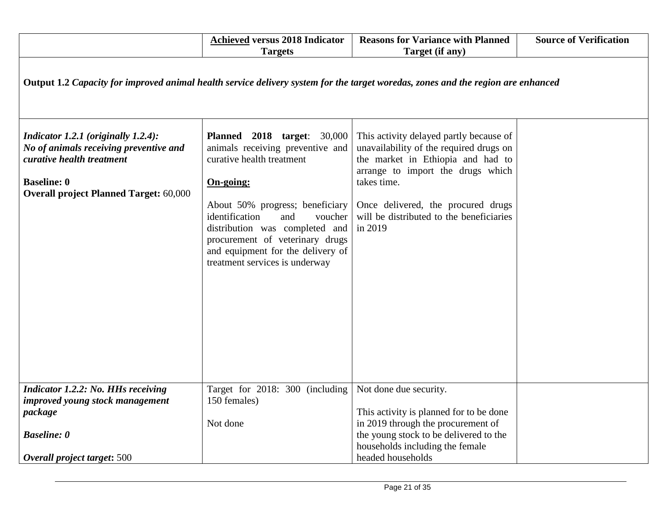|                                                                                                                                  | <b>Achieved versus 2018 Indicator</b><br><b>Targets</b>                                                                                                                                                                      | <b>Reasons for Variance with Planned</b><br>Target (if any)                                                                                                  | <b>Source of Verification</b> |  |
|----------------------------------------------------------------------------------------------------------------------------------|------------------------------------------------------------------------------------------------------------------------------------------------------------------------------------------------------------------------------|--------------------------------------------------------------------------------------------------------------------------------------------------------------|-------------------------------|--|
| Output 1.2 Capacity for improved animal health service delivery system for the target woredas, zones and the region are enhanced |                                                                                                                                                                                                                              |                                                                                                                                                              |                               |  |
| Indicator 1.2.1 (originally 1.2.4):<br>No of animals receiving preventive and<br>curative health treatment                       | <b>Planned</b> 2018 target: 30,000<br>animals receiving preventive and<br>curative health treatment                                                                                                                          | This activity delayed partly because of<br>unavailability of the required drugs on<br>the market in Ethiopia and had to<br>arrange to import the drugs which |                               |  |
| <b>Baseline: 0</b><br><b>Overall project Planned Target: 60,000</b>                                                              | On-going:<br>About 50% progress; beneficiary<br>identification<br>and<br>voucher<br>distribution was completed and<br>procurement of veterinary drugs<br>and equipment for the delivery of<br>treatment services is underway | takes time.<br>Once delivered, the procured drugs<br>will be distributed to the beneficiaries<br>in 2019                                                     |                               |  |
| <b>Indicator 1.2.2: No. HHs receiving</b><br>improved young stock management<br>package                                          | Target for 2018: 300 (including<br>150 females)                                                                                                                                                                              | Not done due security.<br>This activity is planned for to be done                                                                                            |                               |  |
| <b>Baseline: 0</b><br>Overall project target: 500                                                                                | Not done                                                                                                                                                                                                                     | in 2019 through the procurement of<br>the young stock to be delivered to the<br>households including the female<br>headed households                         |                               |  |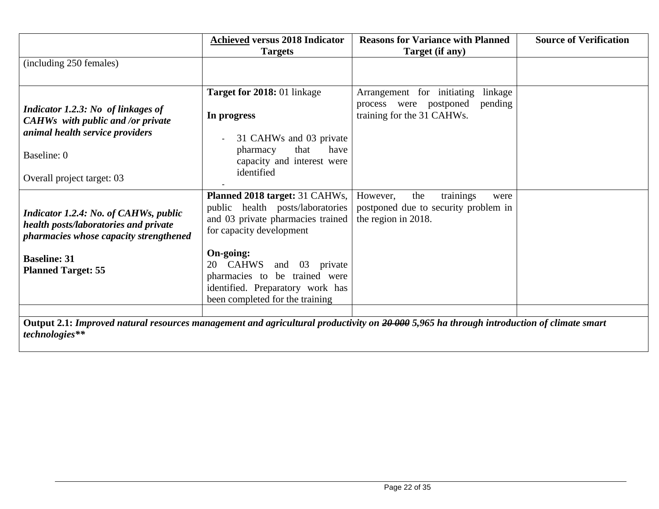|                                                                                                                                                                                     | <b>Achieved versus 2018 Indicator</b><br><b>Targets</b>                                                                                                                                                                                                                                             | <b>Reasons for Variance with Planned</b><br>Target (if any)                                              | <b>Source of Verification</b> |
|-------------------------------------------------------------------------------------------------------------------------------------------------------------------------------------|-----------------------------------------------------------------------------------------------------------------------------------------------------------------------------------------------------------------------------------------------------------------------------------------------------|----------------------------------------------------------------------------------------------------------|-------------------------------|
| (including 250 females)                                                                                                                                                             |                                                                                                                                                                                                                                                                                                     |                                                                                                          |                               |
| Indicator 1.2.3: No of linkages of<br><b>CAHWs</b> with public and /or private<br>animal health service providers<br>Baseline: 0<br>Overall project target: 03                      | Target for 2018: 01 linkage<br>In progress<br>31 CAHWs and 03 private<br>that<br>have<br>pharmacy<br>capacity and interest were<br>identified                                                                                                                                                       | Arrangement for initiating<br>linkage<br>pending<br>process were postponed<br>training for the 31 CAHWs. |                               |
| <b>Indicator 1.2.4: No. of CAHWs, public</b><br>health posts/laboratories and private<br>pharmacies whose capacity strengthened<br><b>Baseline: 31</b><br><b>Planned Target: 55</b> | <b>Planned 2018 target: 31 CAHWs,</b><br>public health posts/laboratories<br>and 03 private pharmacies trained<br>for capacity development<br>On-going:<br>CAHWS and<br>03<br>20<br>private<br>pharmacies to be trained were<br>identified. Preparatory work has<br>been completed for the training | trainings<br>the<br>However,<br>were<br>postponed due to security problem in<br>the region in 2018.      |                               |
| Output 2.1: Improved natural resources management and agricultural productivity on 20 000 5,965 ha through introduction of climate smart<br>technologies**                          |                                                                                                                                                                                                                                                                                                     |                                                                                                          |                               |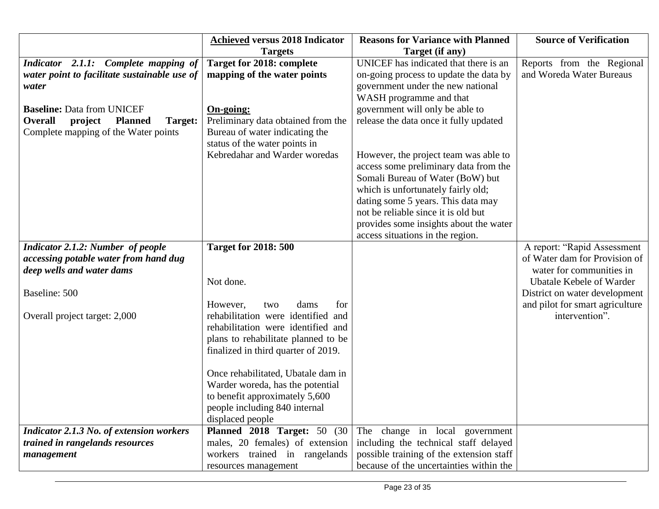|                                                                                                                                     | <b>Achieved versus 2018 Indicator</b>                                                                                                                                                                                                                                                                                   | <b>Reasons for Variance with Planned</b>                                                                                                                                                                                                                                                                                                                     | <b>Source of Verification</b>                                                                                                                                                                   |
|-------------------------------------------------------------------------------------------------------------------------------------|-------------------------------------------------------------------------------------------------------------------------------------------------------------------------------------------------------------------------------------------------------------------------------------------------------------------------|--------------------------------------------------------------------------------------------------------------------------------------------------------------------------------------------------------------------------------------------------------------------------------------------------------------------------------------------------------------|-------------------------------------------------------------------------------------------------------------------------------------------------------------------------------------------------|
|                                                                                                                                     | <b>Targets</b>                                                                                                                                                                                                                                                                                                          | Target (if any)                                                                                                                                                                                                                                                                                                                                              |                                                                                                                                                                                                 |
| Indicator 2.1.1: Complete mapping of<br>water point to facilitate sustainable use of<br>water                                       | <b>Target for 2018: complete</b><br>mapping of the water points                                                                                                                                                                                                                                                         | UNICEF has indicated that there is an<br>on-going process to update the data by<br>government under the new national<br>WASH programme and that                                                                                                                                                                                                              | Reports from the Regional<br>and Woreda Water Bureaus                                                                                                                                           |
| <b>Baseline: Data from UNICEF</b><br><b>Overall</b><br><b>Planned</b><br>project<br>Target:<br>Complete mapping of the Water points | On-going:<br>Preliminary data obtained from the<br>Bureau of water indicating the<br>status of the water points in<br>Kebredahar and Warder woredas                                                                                                                                                                     | government will only be able to<br>release the data once it fully updated<br>However, the project team was able to<br>access some preliminary data from the<br>Somali Bureau of Water (BoW) but<br>which is unfortunately fairly old;<br>dating some 5 years. This data may<br>not be reliable since it is old but<br>provides some insights about the water |                                                                                                                                                                                                 |
|                                                                                                                                     |                                                                                                                                                                                                                                                                                                                         | access situations in the region.                                                                                                                                                                                                                                                                                                                             |                                                                                                                                                                                                 |
| <b>Indicator 2.1.2: Number of people</b><br>accessing potable water from hand dug<br>deep wells and water dams<br>Baseline: 500     | <b>Target for 2018: 500</b><br>Not done.<br>However,<br>dams<br>for<br>two                                                                                                                                                                                                                                              |                                                                                                                                                                                                                                                                                                                                                              | A report: "Rapid Assessment<br>of Water dam for Provision of<br>water for communities in<br><b>Ubatale Kebele of Warder</b><br>District on water development<br>and pilot for smart agriculture |
| Overall project target: 2,000                                                                                                       | rehabilitation were identified and<br>rehabilitation were identified and<br>plans to rehabilitate planned to be<br>finalized in third quarter of 2019.<br>Once rehabilitated, Ubatale dam in<br>Warder woreda, has the potential<br>to benefit approximately 5,600<br>people including 840 internal<br>displaced people |                                                                                                                                                                                                                                                                                                                                                              | intervention".                                                                                                                                                                                  |
| <b>Indicator 2.1.3 No. of extension workers</b>                                                                                     | <b>Planned 2018 Target: 50 (30)</b>                                                                                                                                                                                                                                                                                     | The change in local government                                                                                                                                                                                                                                                                                                                               |                                                                                                                                                                                                 |
| trained in rangelands resources                                                                                                     | males, 20 females) of extension                                                                                                                                                                                                                                                                                         | including the technical staff delayed                                                                                                                                                                                                                                                                                                                        |                                                                                                                                                                                                 |
| management                                                                                                                          | workers trained in rangelands<br>resources management                                                                                                                                                                                                                                                                   | possible training of the extension staff<br>because of the uncertainties within the                                                                                                                                                                                                                                                                          |                                                                                                                                                                                                 |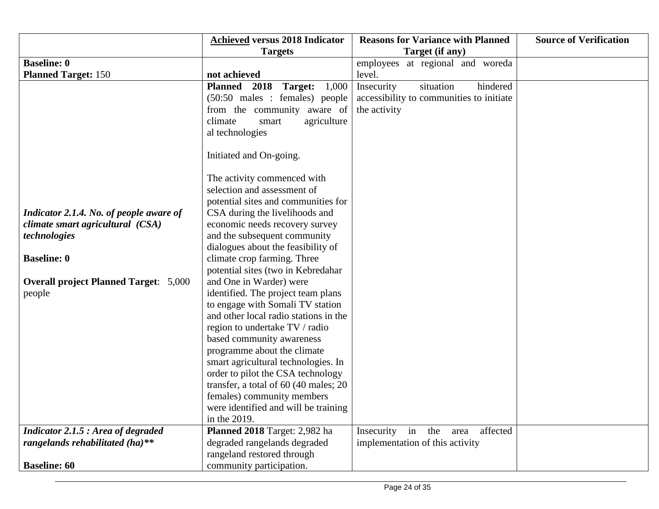|                                              | <b>Achieved versus 2018 Indicator</b> | <b>Reasons for Variance with Planned</b> | <b>Source of Verification</b> |
|----------------------------------------------|---------------------------------------|------------------------------------------|-------------------------------|
|                                              | <b>Targets</b>                        | Target (if any)                          |                               |
| <b>Baseline: 0</b>                           |                                       | employees at regional and woreda         |                               |
| <b>Planned Target: 150</b>                   | not achieved                          | level.                                   |                               |
|                                              | 1,000<br>Planned 2018<br>Target:      | situation<br>hindered<br>Insecurity      |                               |
|                                              | (50:50 males : females) people        | accessibility to communities to initiate |                               |
|                                              | from the community aware of           | the activity                             |                               |
|                                              | climate<br>agriculture<br>smart       |                                          |                               |
|                                              | al technologies                       |                                          |                               |
|                                              |                                       |                                          |                               |
|                                              | Initiated and On-going.               |                                          |                               |
|                                              |                                       |                                          |                               |
|                                              | The activity commenced with           |                                          |                               |
|                                              | selection and assessment of           |                                          |                               |
|                                              | potential sites and communities for   |                                          |                               |
| Indicator 2.1.4. No. of people aware of      | CSA during the livelihoods and        |                                          |                               |
| climate smart agricultural (CSA)             | economic needs recovery survey        |                                          |                               |
| technologies                                 | and the subsequent community          |                                          |                               |
|                                              | dialogues about the feasibility of    |                                          |                               |
| <b>Baseline: 0</b>                           | climate crop farming. Three           |                                          |                               |
|                                              | potential sites (two in Kebredahar    |                                          |                               |
| <b>Overall project Planned Target: 5,000</b> | and One in Warder) were               |                                          |                               |
| people                                       | identified. The project team plans    |                                          |                               |
|                                              | to engage with Somali TV station      |                                          |                               |
|                                              | and other local radio stations in the |                                          |                               |
|                                              | region to undertake TV / radio        |                                          |                               |
|                                              | based community awareness             |                                          |                               |
|                                              | programme about the climate           |                                          |                               |
|                                              | smart agricultural technologies. In   |                                          |                               |
|                                              | order to pilot the CSA technology     |                                          |                               |
|                                              | transfer, a total of 60 (40 males; 20 |                                          |                               |
|                                              | females) community members            |                                          |                               |
|                                              | were identified and will be training  |                                          |                               |
|                                              | in the 2019.                          |                                          |                               |
| Indicator 2.1.5 : Area of degraded           | Planned 2018 Target: 2,982 ha         | affected<br>Insecurity<br>in the<br>area |                               |
| rangelands rehabilitated (ha)**              | degraded rangelands degraded          | implementation of this activity          |                               |
|                                              | rangeland restored through            |                                          |                               |
| <b>Baseline: 60</b>                          | community participation.              |                                          |                               |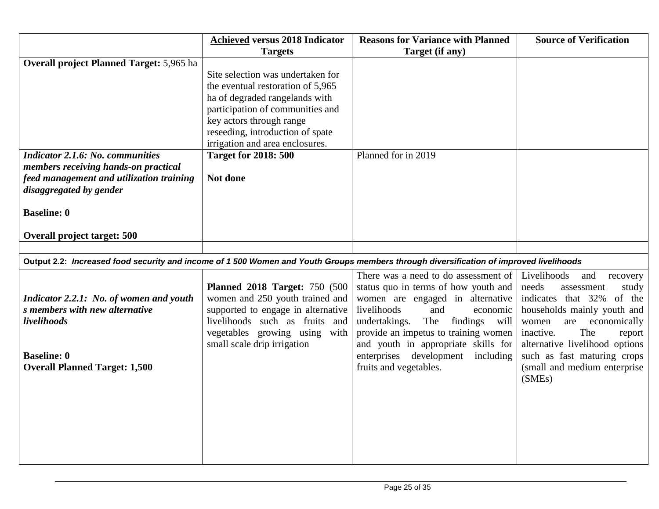|                                                                                                                                        | <b>Achieved versus 2018 Indicator</b> | <b>Reasons for Variance with Planned</b> | <b>Source of Verification</b>  |
|----------------------------------------------------------------------------------------------------------------------------------------|---------------------------------------|------------------------------------------|--------------------------------|
|                                                                                                                                        | <b>Targets</b>                        | Target (if any)                          |                                |
| <b>Overall project Planned Target: 5,965 ha</b>                                                                                        |                                       |                                          |                                |
|                                                                                                                                        | Site selection was undertaken for     |                                          |                                |
|                                                                                                                                        | the eventual restoration of 5,965     |                                          |                                |
|                                                                                                                                        | ha of degraded rangelands with        |                                          |                                |
|                                                                                                                                        | participation of communities and      |                                          |                                |
|                                                                                                                                        | key actors through range              |                                          |                                |
|                                                                                                                                        | reseeding, introduction of spate      |                                          |                                |
|                                                                                                                                        | irrigation and area enclosures.       |                                          |                                |
| <b>Indicator 2.1.6: No. communities</b>                                                                                                | <b>Target for 2018: 500</b>           | Planned for in 2019                      |                                |
| members receiving hands-on practical                                                                                                   |                                       |                                          |                                |
| feed management and utilization training                                                                                               | Not done                              |                                          |                                |
| disaggregated by gender                                                                                                                |                                       |                                          |                                |
|                                                                                                                                        |                                       |                                          |                                |
| <b>Baseline: 0</b>                                                                                                                     |                                       |                                          |                                |
|                                                                                                                                        |                                       |                                          |                                |
| <b>Overall project target: 500</b>                                                                                                     |                                       |                                          |                                |
|                                                                                                                                        |                                       |                                          |                                |
| Output 2.2: Increased food security and income of 1 500 Women and Youth Groups members through diversification of improved livelihoods |                                       |                                          |                                |
|                                                                                                                                        |                                       | There was a need to do assessment of     | Livelihoods<br>and<br>recovery |
|                                                                                                                                        | <b>Planned 2018 Target: 750 (500)</b> | status quo in terms of how youth and     | needs<br>assessment<br>study   |
| Indicator 2.2.1: No. of women and youth                                                                                                | women and 250 youth trained and       | women are engaged in alternative         | indicates that 32% of the      |
| s members with new alternative                                                                                                         | supported to engage in alternative    | livelihoods<br>and<br>economic           | households mainly youth and    |
| livelihoods                                                                                                                            | livelihoods such as fruits and        | The<br>findings<br>undertakings.<br>will | economically<br>women<br>are   |
|                                                                                                                                        | vegetables growing using with         | provide an impetus to training women     | The<br>inactive.<br>report     |
|                                                                                                                                        | small scale drip irrigation           | and youth in appropriate skills for      | alternative livelihood options |
| <b>Baseline: 0</b>                                                                                                                     |                                       | enterprises development including        | such as fast maturing crops    |
| <b>Overall Planned Target: 1,500</b>                                                                                                   |                                       | fruits and vegetables.                   | (small and medium enterprise   |
|                                                                                                                                        |                                       |                                          | (SMEs)                         |
|                                                                                                                                        |                                       |                                          |                                |
|                                                                                                                                        |                                       |                                          |                                |
|                                                                                                                                        |                                       |                                          |                                |
|                                                                                                                                        |                                       |                                          |                                |
|                                                                                                                                        |                                       |                                          |                                |
|                                                                                                                                        |                                       |                                          |                                |
|                                                                                                                                        |                                       |                                          |                                |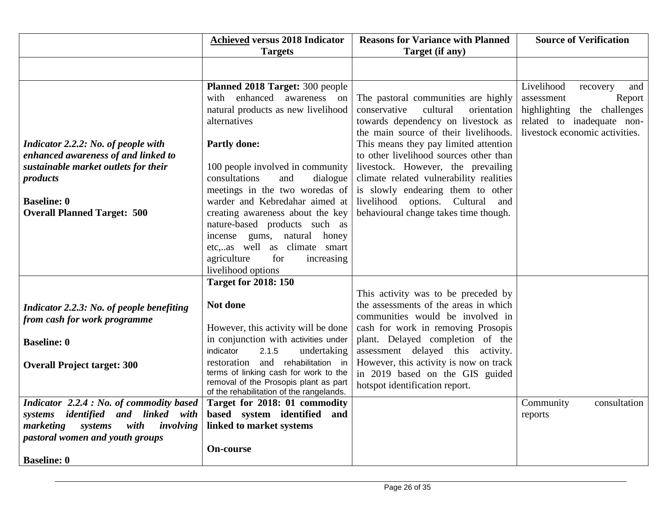|                                           | <b>Achieved versus 2018 Indicator</b>                                          | <b>Reasons for Variance with Planned</b> | <b>Source of Verification</b>  |
|-------------------------------------------|--------------------------------------------------------------------------------|------------------------------------------|--------------------------------|
|                                           | <b>Targets</b>                                                                 | Target (if any)                          |                                |
|                                           |                                                                                |                                          |                                |
|                                           | Planned 2018 Target: 300 people                                                |                                          | Livelihood<br>and<br>recovery  |
|                                           | enhanced awareness on<br>with                                                  | The pastoral communities are highly      | assessment<br>Report           |
|                                           | natural products as new livelihood                                             | conservative<br>cultural<br>orientation  | highlighting the challenges    |
|                                           | alternatives                                                                   | towards dependency on livestock as       | related to inadequate non-     |
|                                           |                                                                                | the main source of their livelihoods.    | livestock economic activities. |
| Indicator 2.2.2: No. of people with       | <b>Partly done:</b>                                                            | This means they pay limited attention    |                                |
| enhanced awareness of and linked to       |                                                                                | to other livelihood sources other than   |                                |
| sustainable market outlets for their      | 100 people involved in community                                               | livestock. However, the prevailing       |                                |
| products                                  | consultations<br>and<br>dialogue                                               | climate related vulnerability realities  |                                |
|                                           | meetings in the two woredas of                                                 | is slowly endearing them to other        |                                |
| <b>Baseline: 0</b>                        | warder and Kebredahar aimed at                                                 | livelihood options. Cultural<br>and      |                                |
| <b>Overall Planned Target: 500</b>        | creating awareness about the key                                               | behavioural change takes time though.    |                                |
|                                           | nature-based products such as                                                  |                                          |                                |
|                                           | incense gums, natural honey                                                    |                                          |                                |
|                                           | etc,as well as climate smart<br>agriculture<br>for<br>increasing               |                                          |                                |
|                                           | livelihood options                                                             |                                          |                                |
|                                           | <b>Target for 2018: 150</b>                                                    |                                          |                                |
|                                           |                                                                                | This activity was to be preceded by      |                                |
| Indicator 2.2.3: No. of people benefiting | Not done                                                                       | the assessments of the areas in which    |                                |
| from cash for work programme              |                                                                                | communities would be involved in         |                                |
|                                           | However, this activity will be done                                            | cash for work in removing Prosopis       |                                |
| <b>Baseline: 0</b>                        | in conjunction with activities under                                           | plant. Delayed completion of the         |                                |
|                                           | indicator<br>2.1.5<br>undertaking                                              | assessment delayed this activity.        |                                |
| <b>Overall Project target: 300</b>        | and rehabilitation in<br>restoration                                           | However, this activity is now on track   |                                |
|                                           | terms of linking cash for work to the<br>removal of the Prosopis plant as part | in 2019 based on the GIS guided          |                                |
|                                           | of the rehabilitation of the rangelands.                                       | hotspot identification report.           |                                |
| Indicator 2.2.4 : No. of commodity based  | Target for 2018: 01 commodity                                                  |                                          | Community<br>consultation      |
| systems identified and linked<br>with     | based system identified and                                                    |                                          | reports                        |
| with<br>marketing systems<br>involving    | linked to market systems                                                       |                                          |                                |
| pastoral women and youth groups           |                                                                                |                                          |                                |
|                                           | <b>On-course</b>                                                               |                                          |                                |
| <b>Baseline: 0</b>                        |                                                                                |                                          |                                |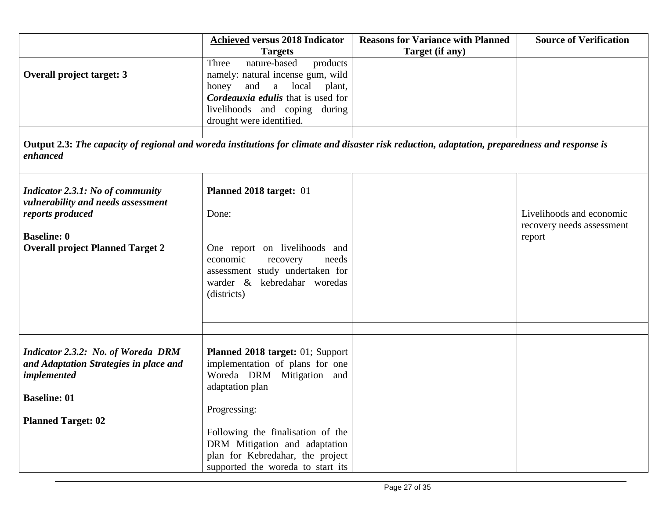|                                                                                                                                                            | <b>Achieved versus 2018 Indicator</b><br><b>Targets</b>                                                                                                                                                      | <b>Reasons for Variance with Planned</b><br>Target (if any) | <b>Source of Verification</b> |
|------------------------------------------------------------------------------------------------------------------------------------------------------------|--------------------------------------------------------------------------------------------------------------------------------------------------------------------------------------------------------------|-------------------------------------------------------------|-------------------------------|
| <b>Overall project target: 3</b>                                                                                                                           | Three<br>products<br>nature-based<br>namely: natural incense gum, wild<br>honey and a local plant,<br><b>Cordeauxia edulis</b> that is used for<br>livelihoods and coping during<br>drought were identified. |                                                             |                               |
|                                                                                                                                                            |                                                                                                                                                                                                              |                                                             |                               |
| Output 2.3: The capacity of regional and woreda institutions for climate and disaster risk reduction, adaptation, preparedness and response is<br>enhanced |                                                                                                                                                                                                              |                                                             |                               |

| <b>Indicator 2.3.1: No of community</b><br>vulnerability and needs assessment<br>reports produced<br><b>Baseline: 0</b><br><b>Overall project Planned Target 2</b> | Planned 2018 target: 01<br>Done:<br>One report on livelihoods and<br>economic<br>needs<br>recovery<br>assessment study undertaken for<br>warder & kebredahar woredas<br>(districts) | Livelihoods and economic<br>recovery needs assessment<br>report |
|--------------------------------------------------------------------------------------------------------------------------------------------------------------------|-------------------------------------------------------------------------------------------------------------------------------------------------------------------------------------|-----------------------------------------------------------------|
|                                                                                                                                                                    |                                                                                                                                                                                     |                                                                 |
| Indicator 2.3.2: No. of Woreda DRM<br>and Adaptation Strategies in place and<br>implemented                                                                        | <b>Planned 2018 target: 01; Support</b><br>implementation of plans for one<br>Woreda DRM Mitigation and<br>adaptation plan                                                          |                                                                 |
| <b>Baseline: 01</b>                                                                                                                                                |                                                                                                                                                                                     |                                                                 |
| <b>Planned Target: 02</b>                                                                                                                                          | Progressing:                                                                                                                                                                        |                                                                 |
|                                                                                                                                                                    | Following the finalisation of the<br>DRM Mitigation and adaptation<br>plan for Kebredahar, the project<br>supported the woreda to start its                                         |                                                                 |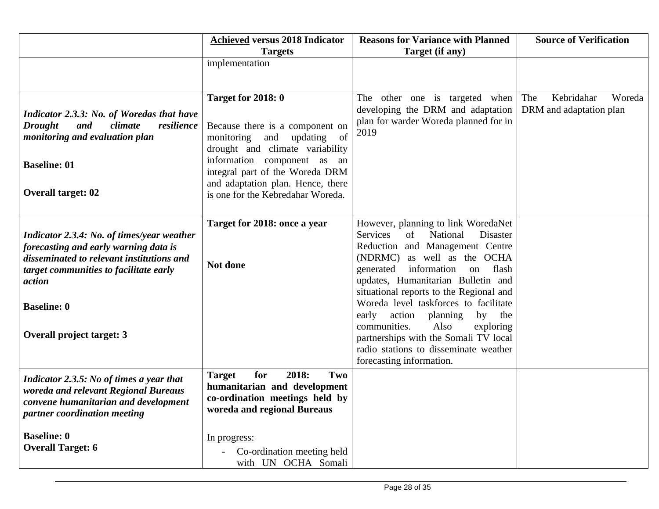|                                                                                                                                                                                                                                                | <b>Achieved versus 2018 Indicator</b>                                                                                                                                                                                                              | <b>Reasons for Variance with Planned</b>                                                                                                                                                                                                                                                                                                                                                                                                                                                                         | <b>Source of Verification</b> |  |
|------------------------------------------------------------------------------------------------------------------------------------------------------------------------------------------------------------------------------------------------|----------------------------------------------------------------------------------------------------------------------------------------------------------------------------------------------------------------------------------------------------|------------------------------------------------------------------------------------------------------------------------------------------------------------------------------------------------------------------------------------------------------------------------------------------------------------------------------------------------------------------------------------------------------------------------------------------------------------------------------------------------------------------|-------------------------------|--|
|                                                                                                                                                                                                                                                | <b>Targets</b>                                                                                                                                                                                                                                     | Target (if any)                                                                                                                                                                                                                                                                                                                                                                                                                                                                                                  |                               |  |
|                                                                                                                                                                                                                                                | implementation                                                                                                                                                                                                                                     |                                                                                                                                                                                                                                                                                                                                                                                                                                                                                                                  |                               |  |
|                                                                                                                                                                                                                                                |                                                                                                                                                                                                                                                    |                                                                                                                                                                                                                                                                                                                                                                                                                                                                                                                  |                               |  |
|                                                                                                                                                                                                                                                | <b>Target for 2018: 0</b>                                                                                                                                                                                                                          | The other one is targeted when                                                                                                                                                                                                                                                                                                                                                                                                                                                                                   | Kebridahar<br>The<br>Woreda   |  |
| Indicator 2.3.3: No. of Woredas that have<br><b>Drought</b><br>climate<br>resilience<br>and<br>monitoring and evaluation plan<br><b>Baseline: 01</b><br><b>Overall target: 02</b>                                                              | Because there is a component on<br>monitoring<br>updating of<br>and<br>drought and climate variability<br>information component as an<br>integral part of the Woreda DRM<br>and adaptation plan. Hence, there<br>is one for the Kebredahar Woreda. | developing the DRM and adaptation<br>plan for warder Woreda planned for in<br>2019                                                                                                                                                                                                                                                                                                                                                                                                                               | DRM and adaptation plan       |  |
| Indicator 2.3.4: No. of times/year weather<br>forecasting and early warning data is<br>disseminated to relevant institutions and<br>target communities to facilitate early<br>action<br><b>Baseline: 0</b><br><b>Overall project target: 3</b> | Target for 2018: once a year<br>Not done                                                                                                                                                                                                           | However, planning to link WoredaNet<br>Services<br>National<br>of<br>Disaster<br>Reduction and Management Centre<br>(NDRMC)<br>as well as the OCHA<br>generated<br>information<br>flash<br>on<br>updates, Humanitarian Bulletin and<br>situational reports to the Regional and<br>Woreda level taskforces to facilitate<br>early<br>action planning<br>by the<br>communities.<br>Also<br>exploring<br>partnerships with the Somali TV local<br>radio stations to disseminate weather<br>forecasting information. |                               |  |
| Indicator 2.3.5: No of times a year that<br>woreda and relevant Regional Bureaus<br>convene humanitarian and development<br>partner coordination meeting                                                                                       | 2018:<br>Two<br>for<br><b>Target</b><br>humanitarian and development<br>co-ordination meetings held by<br>woreda and regional Bureaus                                                                                                              |                                                                                                                                                                                                                                                                                                                                                                                                                                                                                                                  |                               |  |
| <b>Baseline: 0</b><br><b>Overall Target: 6</b>                                                                                                                                                                                                 | In progress:<br>Co-ordination meeting held<br>with UN OCHA Somali                                                                                                                                                                                  |                                                                                                                                                                                                                                                                                                                                                                                                                                                                                                                  |                               |  |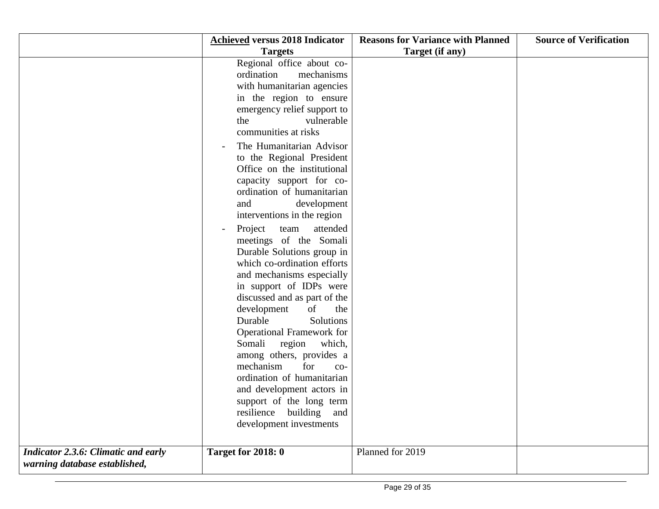|                                            | <b>Achieved versus 2018 Indicator</b>                 | <b>Reasons for Variance with Planned</b> | <b>Source of Verification</b> |
|--------------------------------------------|-------------------------------------------------------|------------------------------------------|-------------------------------|
|                                            | <b>Targets</b>                                        | Target (if any)                          |                               |
|                                            | Regional office about co-                             |                                          |                               |
|                                            | ordination<br>mechanisms                              |                                          |                               |
|                                            | with humanitarian agencies                            |                                          |                               |
|                                            | in the region to ensure                               |                                          |                               |
|                                            | emergency relief support to                           |                                          |                               |
|                                            | vulnerable<br>the                                     |                                          |                               |
|                                            | communities at risks                                  |                                          |                               |
|                                            | The Humanitarian Advisor                              |                                          |                               |
|                                            | to the Regional President                             |                                          |                               |
|                                            | Office on the institutional                           |                                          |                               |
|                                            | capacity support for co-                              |                                          |                               |
|                                            | ordination of humanitarian                            |                                          |                               |
|                                            | and<br>development                                    |                                          |                               |
|                                            | interventions in the region                           |                                          |                               |
|                                            | attended<br>Project<br>team<br>$\qquad \qquad -$      |                                          |                               |
|                                            | meetings of the Somali                                |                                          |                               |
|                                            | Durable Solutions group in                            |                                          |                               |
|                                            | which co-ordination efforts                           |                                          |                               |
|                                            | and mechanisms especially                             |                                          |                               |
|                                            | in support of IDPs were                               |                                          |                               |
|                                            | discussed and as part of the                          |                                          |                               |
|                                            | development<br>of<br>the                              |                                          |                               |
|                                            | Durable<br>Solutions                                  |                                          |                               |
|                                            | Operational Framework for                             |                                          |                               |
|                                            | Somali<br>region<br>which,                            |                                          |                               |
|                                            | among others, provides a<br>mechanism<br>for          |                                          |                               |
|                                            | $CO-$<br>ordination of humanitarian                   |                                          |                               |
|                                            |                                                       |                                          |                               |
|                                            | and development actors in<br>support of the long term |                                          |                               |
|                                            | resilience<br>building<br>and                         |                                          |                               |
|                                            | development investments                               |                                          |                               |
|                                            |                                                       |                                          |                               |
|                                            |                                                       |                                          |                               |
| <b>Indicator 2.3.6: Climatic and early</b> | <b>Target for 2018: 0</b>                             | Planned for 2019                         |                               |
| warning database established,              |                                                       |                                          |                               |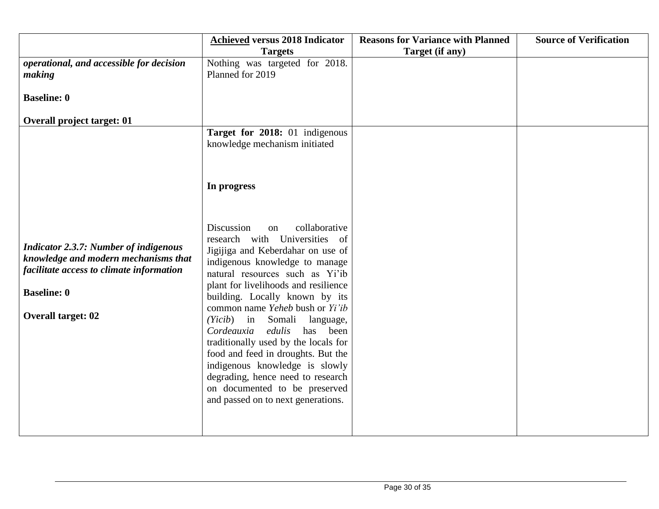|                                              | <b>Achieved versus 2018 Indicator</b> | <b>Reasons for Variance with Planned</b> | <b>Source of Verification</b> |
|----------------------------------------------|---------------------------------------|------------------------------------------|-------------------------------|
|                                              | <b>Targets</b>                        | Target (if any)                          |                               |
| operational, and accessible for decision     | Nothing was targeted for 2018.        |                                          |                               |
| making                                       | Planned for 2019                      |                                          |                               |
|                                              |                                       |                                          |                               |
| <b>Baseline: 0</b>                           |                                       |                                          |                               |
| <b>Overall project target: 01</b>            |                                       |                                          |                               |
|                                              | Target for 2018: 01 indigenous        |                                          |                               |
|                                              | knowledge mechanism initiated         |                                          |                               |
|                                              |                                       |                                          |                               |
|                                              |                                       |                                          |                               |
|                                              | In progress                           |                                          |                               |
|                                              |                                       |                                          |                               |
|                                              |                                       |                                          |                               |
|                                              |                                       |                                          |                               |
|                                              | Discussion<br>collaborative<br>on     |                                          |                               |
|                                              | research with Universities of         |                                          |                               |
| <b>Indicator 2.3.7: Number of indigenous</b> | Jigijiga and Keberdahar on use of     |                                          |                               |
| knowledge and modern mechanisms that         | indigenous knowledge to manage        |                                          |                               |
| facilitate access to climate information     | natural resources such as Yi'ib       |                                          |                               |
|                                              | plant for livelihoods and resilience  |                                          |                               |
| <b>Baseline: 0</b>                           | building. Locally known by its        |                                          |                               |
|                                              | common name Yeheb bush or Yi'ib       |                                          |                               |
| <b>Overall target: 02</b>                    | in Somali<br>(Yicib)<br>language,     |                                          |                               |
|                                              | Cordeauxia<br>edulis<br>has been      |                                          |                               |
|                                              | traditionally used by the locals for  |                                          |                               |
|                                              | food and feed in droughts. But the    |                                          |                               |
|                                              | indigenous knowledge is slowly        |                                          |                               |
|                                              | degrading, hence need to research     |                                          |                               |
|                                              | on documented to be preserved         |                                          |                               |
|                                              | and passed on to next generations.    |                                          |                               |
|                                              |                                       |                                          |                               |
|                                              |                                       |                                          |                               |
|                                              |                                       |                                          |                               |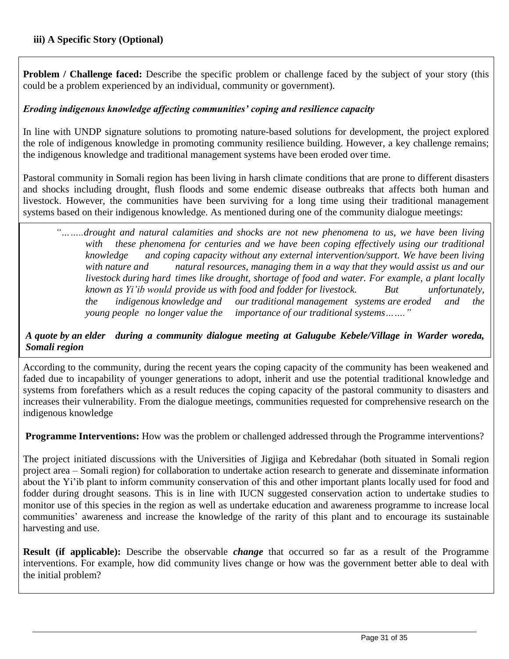**Problem / Challenge faced:** Describe the specific problem or challenge faced by the subject of your story (this could be a problem experienced by an individual, community or government).

## *Eroding indigenous knowledge affecting communities' coping and resilience capacity*

In line with UNDP signature solutions to promoting nature-based solutions for development, the project explored the role of indigenous knowledge in promoting community resilience building. However, a key challenge remains; the indigenous knowledge and traditional management systems have been eroded over time.

Pastoral community in Somali region has been living in harsh climate conditions that are prone to different disasters and shocks including drought, flush floods and some endemic disease outbreaks that affects both human and livestock. However, the communities have been surviving for a long time using their traditional management systems based on their indigenous knowledge. As mentioned during one of the community dialogue meetings:

*"……..drought and natural calamities and shocks are not new phenomena to us, we have been living*  with these phenomena for centuries and we have been coping effectively using our traditional *knowledge and coping capacity without any external intervention/support. We have been living with nature and natural resources, managing them in a way that they would assist us and our livestock during hard times like drought, shortage of food and water. For example, a plant locally known as Yi'ib would provide us with food and fodder for livestock. But unfortunately, the* indigenous knowledge and our traditional management systems are eroded and the young people no longer value the importance of our traditional systems......." *importance of our traditional systems…….*"

## *A quote by an elder during a community dialogue meeting at Galugube Kebele/Village in Warder woreda, Somali region*

According to the community, during the recent years the coping capacity of the community has been weakened and faded due to incapability of younger generations to adopt, inherit and use the potential traditional knowledge and systems from forefathers which as a result reduces the coping capacity of the pastoral community to disasters and increases their vulnerability. From the dialogue meetings, communities requested for comprehensive research on the indigenous knowledge

**Programme Interventions:** How was the problem or challenged addressed through the Programme interventions?

The project initiated discussions with the Universities of Jigjiga and Kebredahar (both situated in Somali region project area – Somali region) for collaboration to undertake action research to generate and disseminate information about the Yi'ib plant to inform community conservation of this and other important plants locally used for food and fodder during drought seasons. This is in line with IUCN suggested conservation action to undertake studies to monitor use of this species in the region as well as undertake education and awareness programme to increase local communities' awareness and increase the knowledge of the rarity of this plant and to encourage its sustainable harvesting and use.

**Result (if applicable):** Describe the observable *change* that occurred so far as a result of the Programme interventions. For example, how did community lives change or how was the government better able to deal with the initial problem?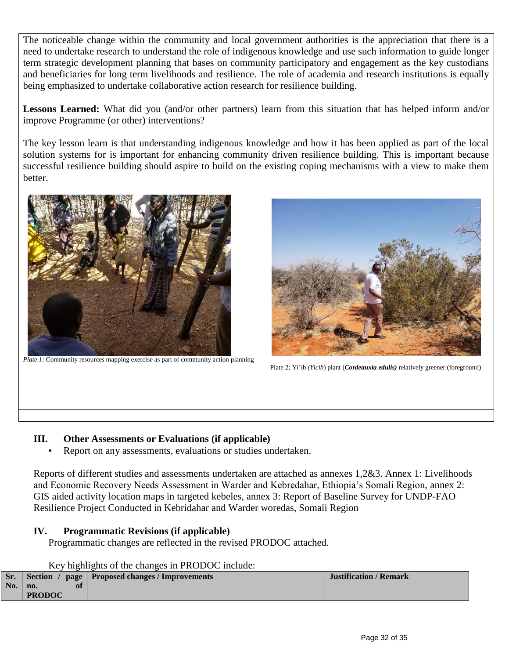The noticeable change within the community and local government authorities is the appreciation that there is a need to undertake research to understand the role of indigenous knowledge and use such information to guide longer term strategic development planning that bases on community participatory and engagement as the key custodians and beneficiaries for long term livelihoods and resilience. The role of academia and research institutions is equally being emphasized to undertake collaborative action research for resilience building.

**Lessons Learned:** What did you (and/or other partners) learn from this situation that has helped inform and/or improve Programme (or other) interventions?

The key lesson learn is that understanding indigenous knowledge and how it has been applied as part of the local solution systems for is important for enhancing community driven resilience building. This is important because successful resilience building should aspire to build on the existing coping mechanisms with a view to make them better.



*Plate 1:* Community resources mapping exercise as part of community action planning



Plate 2; Yi'ib *(Yicib*) plant (*Cordeauxia edulis)* relatively greener (foreground)

### **III. Other Assessments or Evaluations (if applicable)**

Report on any assessments, evaluations or studies undertaken.

Reports of different studies and assessments undertaken are attached as annexes 1,2&3. Annex 1: Livelihoods and Economic Recovery Needs Assessment in Warder and Kebredahar, Ethiopia's Somali Region, annex 2: GIS aided activity location maps in targeted kebeles, annex 3: Report of Baseline Survey for UNDP-FAO Resilience Project Conducted in Kebridahar and Warder woredas, Somali Region

### **IV. Programmatic Revisions (if applicable)**

Programmatic changes are reflected in the revised PRODOC attached.

### Key highlights of the changes in PRODOC include:

|            |               | Sr. Section / page   Proposed changes / Improvements | <b>Justification / Remark</b> |
|------------|---------------|------------------------------------------------------|-------------------------------|
| $\bf{No.}$ | no.<br>ot     |                                                      |                               |
|            | <b>PRODOC</b> |                                                      |                               |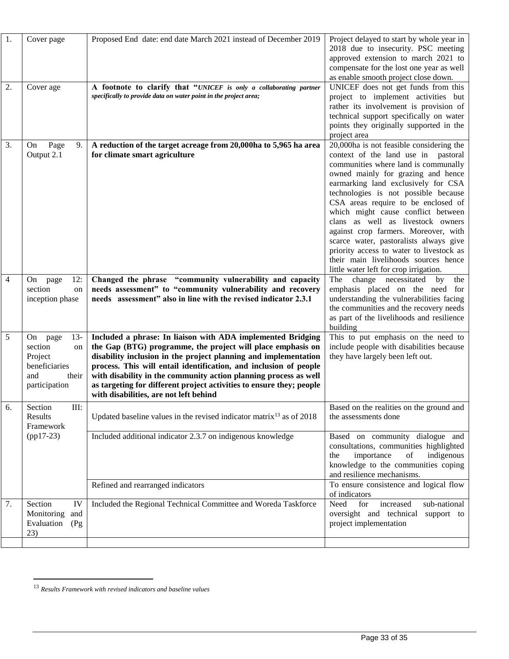| 1. | Cover page                                                                                        | Proposed End date: end date March 2021 instead of December 2019                                                                                                                                                                                                                                                                                                                                                                                          | Project delayed to start by whole year in<br>2018 due to insecurity. PSC meeting<br>approved extension to march 2021 to<br>compensate for the lost one year as well<br>as enable smooth project close down.                                                                                                                                                                                                                                                                                                                                                                    |
|----|---------------------------------------------------------------------------------------------------|----------------------------------------------------------------------------------------------------------------------------------------------------------------------------------------------------------------------------------------------------------------------------------------------------------------------------------------------------------------------------------------------------------------------------------------------------------|--------------------------------------------------------------------------------------------------------------------------------------------------------------------------------------------------------------------------------------------------------------------------------------------------------------------------------------------------------------------------------------------------------------------------------------------------------------------------------------------------------------------------------------------------------------------------------|
| 2. | Cover age                                                                                         | A footnote to clarify that "UNICEF is only a collaborating partner<br>specifically to provide data on water point in the project area;                                                                                                                                                                                                                                                                                                                   | UNICEF does not get funds from this<br>project to implement activities but<br>rather its involvement is provision of<br>technical support specifically on water<br>points they originally supported in the<br>project area                                                                                                                                                                                                                                                                                                                                                     |
| 3. | Page<br>9.<br>On<br>Output 2.1                                                                    | A reduction of the target acreage from 20,000ha to 5,965 ha area<br>for climate smart agriculture                                                                                                                                                                                                                                                                                                                                                        | 20,000ha is not feasible considering the<br>context of the land use in pastoral<br>communities where land is communally<br>owned mainly for grazing and hence<br>earmarking land exclusively for CSA<br>technologies is not possible because<br>CSA areas require to be enclosed of<br>which might cause conflict between<br>clans as well as livestock owners<br>against crop farmers. Moreover, with<br>scarce water, pastoralists always give<br>priority access to water to livestock as<br>their main livelihoods sources hence<br>little water left for crop irrigation. |
| 4  | page<br>12:<br>On<br>section<br>on<br>inception phase                                             | Changed the phrase "community vulnerability and capacity<br>needs assessment" to "community vulnerability and recovery<br>needs assessment" also in line with the revised indicator 2.3.1                                                                                                                                                                                                                                                                | The<br>change necessitated<br>by<br>the<br>emphasis placed on the need for<br>understanding the vulnerabilities facing<br>the communities and the recovery needs<br>as part of the livelihoods and resilience<br>building                                                                                                                                                                                                                                                                                                                                                      |
| 5  | $13-$<br>On<br>page<br>section<br>on<br>Project<br>beneficiaries<br>and<br>their<br>participation | Included a phrase: In liaison with ADA implemented Bridging<br>the Gap (BTG) programme, the project will place emphasis on<br>disability inclusion in the project planning and implementation<br>process. This will entail identification, and inclusion of people<br>with disability in the community action planning process as well<br>as targeting for different project activities to ensure they; people<br>with disabilities, are not left behind | This to put emphasis on the need to<br>include people with disabilities because<br>they have largely been left out.                                                                                                                                                                                                                                                                                                                                                                                                                                                            |
| 6. | Section<br>III:<br>Results<br>Framework                                                           | Updated baseline values in the revised indicator matrix <sup>13</sup> as of 2018                                                                                                                                                                                                                                                                                                                                                                         | Based on the realities on the ground and<br>the assessments done                                                                                                                                                                                                                                                                                                                                                                                                                                                                                                               |
|    | $(pp17-23)$                                                                                       | Included additional indicator 2.3.7 on indigenous knowledge                                                                                                                                                                                                                                                                                                                                                                                              | Based on community dialogue and<br>consultations, communities highlighted<br>importance<br>of<br>indigenous<br>the<br>knowledge to the communities coping<br>and resilience mechanisms.                                                                                                                                                                                                                                                                                                                                                                                        |
|    |                                                                                                   | Refined and rearranged indicators                                                                                                                                                                                                                                                                                                                                                                                                                        | To ensure consistence and logical flow<br>of indicators                                                                                                                                                                                                                                                                                                                                                                                                                                                                                                                        |
| 7. | Section<br>IV<br>Monitoring<br>and<br>Evaluation<br>(Pg)<br>23)                                   | Included the Regional Technical Committee and Woreda Taskforce                                                                                                                                                                                                                                                                                                                                                                                           | Need<br>for<br>increased<br>sub-national<br>oversight and technical<br>support to<br>project implementation                                                                                                                                                                                                                                                                                                                                                                                                                                                                    |
|    |                                                                                                   |                                                                                                                                                                                                                                                                                                                                                                                                                                                          |                                                                                                                                                                                                                                                                                                                                                                                                                                                                                                                                                                                |

 $\overline{a}$ 

<sup>13</sup> *Results Framework with revised indicators and baseline values*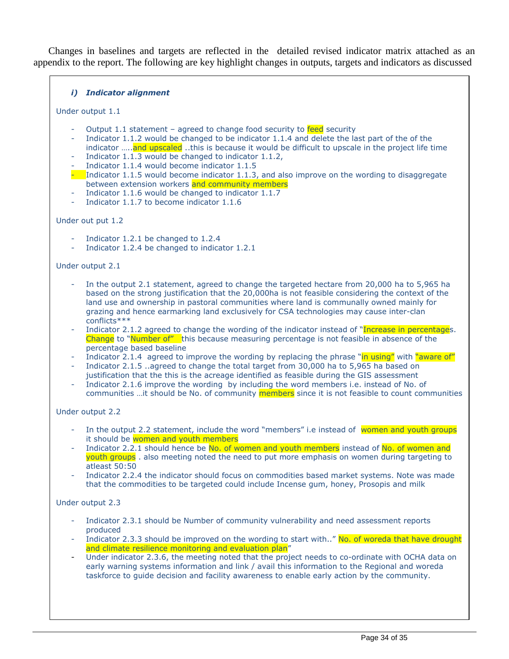Changes in baselines and targets are reflected in the detailed revised indicator matrix attached as an appendix to the report. The following are key highlight changes in outputs, targets and indicators as discussed

#### *i) Indicator alignment*

Under output 1.1

- Output 1.1 statement agreed to change food security to feed security
- Indicator 1.1.2 would be changed to be indicator 1.1.4 and delete the last part of the of the indicator .....and upscaled ..this is because it would be difficult to upscale in the project life time
- Indicator 1.1.3 would be changed to indicator 1.1.2,
- Indicator 1.1.4 would become indicator 1.1.5
- Indicator 1.1.5 would become indicator 1.1.3, and also improve on the wording to disaggregate between extension workers and community members
- Indicator 1.1.6 would be changed to indicator 1.1.7
- Indicator 1.1.7 to become indicator 1.1.6

#### Under out put 1.2

- Indicator 1.2.1 be changed to 1.2.4
- Indicator 1.2.4 be changed to indicator 1.2.1

#### Under output 2.1

- In the output 2.1 statement, agreed to change the targeted hectare from 20,000 ha to 5,965 ha based on the strong justification that the 20,000ha is not feasible considering the context of the land use and ownership in pastoral communities where land is communally owned mainly for grazing and hence earmarking land exclusively for CSA technologies may cause inter-clan conflicts\*\*\*
- Indicator 2.1.2 agreed to change the wording of the indicator instead of "Increase in percentages. Change to "Number of" this because measuring percentage is not feasible in absence of the percentage based baseline
- Indicator 2.1.4 agreed to improve the wording by replacing the phrase "in using" with "aware of"
- Indicator 2.1.5 ..agreed to change the total target from 30,000 ha to 5,965 ha based on justification that the this is the acreage identified as feasible during the GIS assessment
- Indicator 2.1.6 improve the wording by including the word members i.e. instead of No. of communities ...it should be No. of community members since it is not feasible to count communities

#### Under output 2.2

- In the output 2.2 statement, include the word "members" i.e instead of women and youth groups it should be women and youth members
- Indicator 2.2.1 should hence be No. of women and youth members instead of No. of women and youth groups . also meeting noted the need to put more emphasis on women during targeting to atleast 50:50
- Indicator 2.2.4 the indicator should focus on commodities based market systems. Note was made that the commodities to be targeted could include Incense gum, honey, Prosopis and milk

#### Under output 2.3

- Indicator 2.3.1 should be Number of community vulnerability and need assessment reports produced
- Indicator 2.3.3 should be improved on the wording to start with.." No. of woreda that have drought and climate resilience monitoring and evaluation plan"
- Under indicator 2.3.6, the meeting noted that the project needs to co-ordinate with OCHA data on early warning systems information and link / avail this information to the Regional and woreda taskforce to guide decision and facility awareness to enable early action by the community.